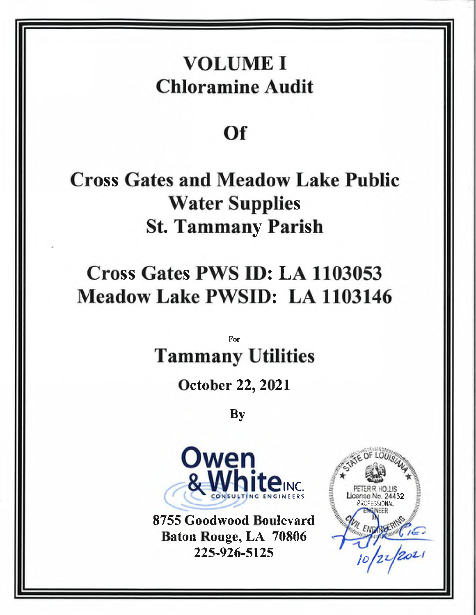## VOLUME I Chloramine Audit

## of

Cross Gates and Meadow Lake Public Water Supplies St. Tammany Parish

# Cross Gates PWS D: LA <sup>1103053</sup> Meadow Lake PWSID: LA 1103146

For Tammany Utilities

October 22, 2021

By



8755 Goodwood Boulevard Baton Rouge, LA <sup>70806</sup>

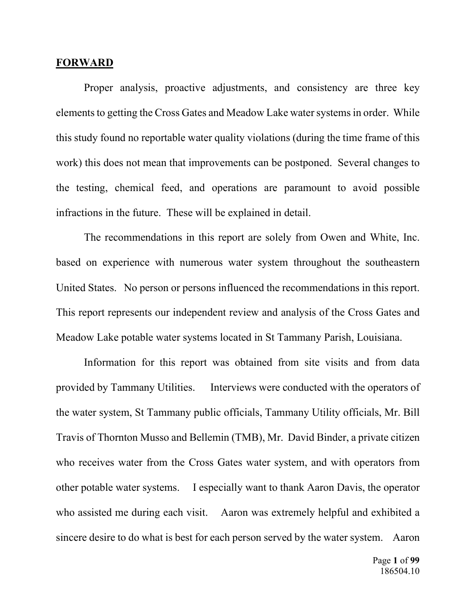#### **FORWARD**

Proper analysis, proactive adjustments, and consistency are three key elements to getting the Cross Gates and Meadow Lake water systems in order. While this study found no reportable water quality violations (during the time frame of this work) this does not mean that improvements can be postponed. Several changes to the testing, chemical feed, and operations are paramount to avoid possible infractions in the future. These will be explained in detail.

The recommendations in this report are solely from Owen and White, Inc. based on experience with numerous water system throughout the southeastern United States. No person or persons influenced the recommendations in this report. This report represents our independent review and analysis of the Cross Gates and Meadow Lake potable water systems located in St Tammany Parish, Louisiana.

Information for this report was obtained from site visits and from data provided by Tammany Utilities. Interviews were conducted with the operators of the water system, St Tammany public officials, Tammany Utility officials, Mr. Bill Travis of Thornton Musso and Bellemin (TMB), Mr. David Binder, a private citizen who receives water from the Cross Gates water system, and with operators from other potable water systems. I especially want to thank Aaron Davis, the operator who assisted me during each visit. Aaron was extremely helpful and exhibited a sincere desire to do what is best for each person served by the water system. Aaron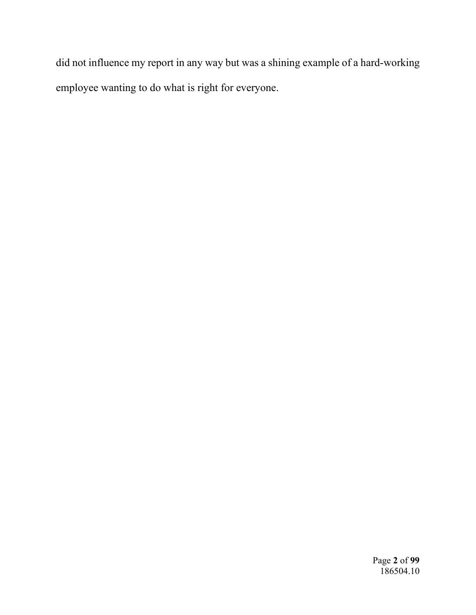did not influence my report in any way but was a shining example of a hard-working employee wanting to do what is right for everyone.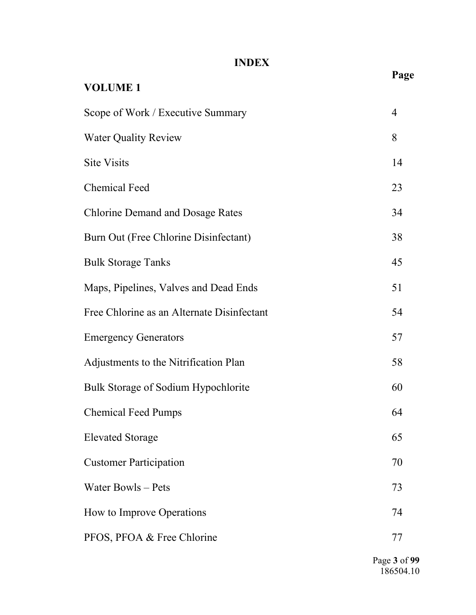### **INDEX**

|                                            | Page           |
|--------------------------------------------|----------------|
| <b>VOLUME 1</b>                            |                |
| Scope of Work / Executive Summary          | $\overline{4}$ |
| <b>Water Quality Review</b>                | 8              |
| <b>Site Visits</b>                         | 14             |
| <b>Chemical Feed</b>                       | 23             |
| <b>Chlorine Demand and Dosage Rates</b>    | 34             |
| Burn Out (Free Chlorine Disinfectant)      | 38             |
| <b>Bulk Storage Tanks</b>                  | 45             |
| Maps, Pipelines, Valves and Dead Ends      | 51             |
| Free Chlorine as an Alternate Disinfectant | 54             |
| <b>Emergency Generators</b>                | 57             |
| Adjustments to the Nitrification Plan      | 58             |
| Bulk Storage of Sodium Hypochlorite        | 60             |
| <b>Chemical Feed Pumps</b>                 | 64             |
| <b>Elevated Storage</b>                    | 65             |
| <b>Customer Participation</b>              | 70             |
| Water Bowls – Pets                         | 73             |
| How to Improve Operations                  | 74             |
| PFOS, PFOA & Free Chlorine                 | 77             |

Page **3** of **99**  186504.10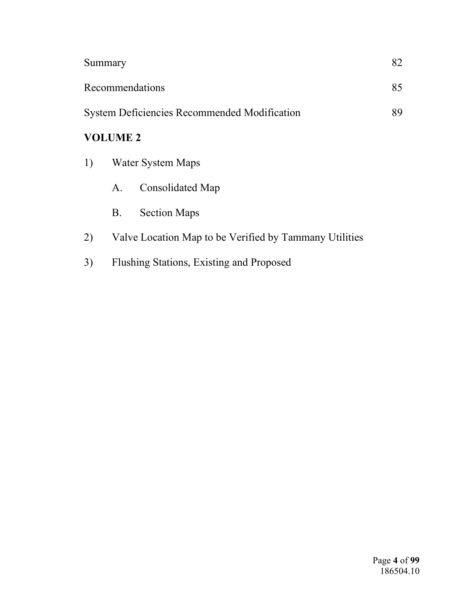| Summary                                                   |           |                     |  |  |  |  |  |
|-----------------------------------------------------------|-----------|---------------------|--|--|--|--|--|
| Recommendations<br>85                                     |           |                     |  |  |  |  |  |
| 89<br><b>System Deficiencies Recommended Modification</b> |           |                     |  |  |  |  |  |
| <b>VOLUME 2</b>                                           |           |                     |  |  |  |  |  |
| 1)<br>Water System Maps                                   |           |                     |  |  |  |  |  |
|                                                           | A.        | Consolidated Map    |  |  |  |  |  |
|                                                           | <b>B.</b> | <b>Section Maps</b> |  |  |  |  |  |
|                                                           |           |                     |  |  |  |  |  |

- 2) Valve Location Map to be Verified by Tammany Utilities
- 3) Flushing Stations, Existing and Proposed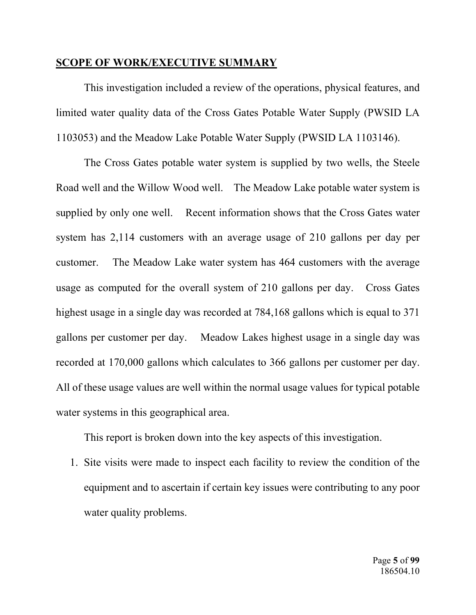#### **SCOPE OF WORK/EXECUTIVE SUMMARY**

This investigation included a review of the operations, physical features, and limited water quality data of the Cross Gates Potable Water Supply (PWSID LA 1103053) and the Meadow Lake Potable Water Supply (PWSID LA 1103146).

The Cross Gates potable water system is supplied by two wells, the Steele Road well and the Willow Wood well. The Meadow Lake potable water system is supplied by only one well. Recent information shows that the Cross Gates water system has 2,114 customers with an average usage of 210 gallons per day per customer. The Meadow Lake water system has 464 customers with the average usage as computed for the overall system of 210 gallons per day. Cross Gates highest usage in a single day was recorded at 784,168 gallons which is equal to 371 gallons per customer per day. Meadow Lakes highest usage in a single day was recorded at 170,000 gallons which calculates to 366 gallons per customer per day. All of these usage values are well within the normal usage values for typical potable water systems in this geographical area.

This report is broken down into the key aspects of this investigation.

1. Site visits were made to inspect each facility to review the condition of the equipment and to ascertain if certain key issues were contributing to any poor water quality problems.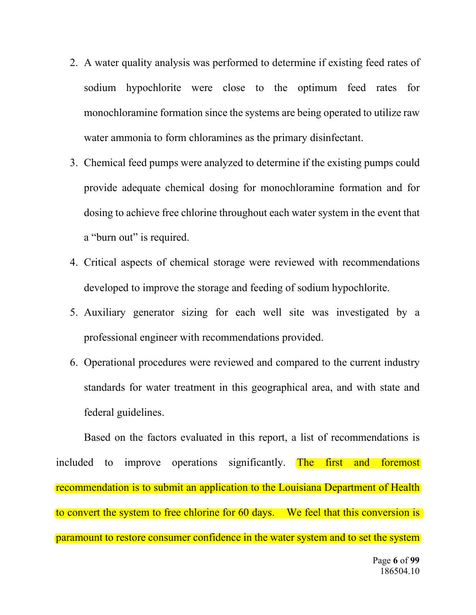- 2. A water quality analysis was performed to determine if existing feed rates of sodium hypochlorite were close to the optimum feed rates for monochloramine formation since the systems are being operated to utilize raw water ammonia to form chloramines as the primary disinfectant.
- 3. Chemical feed pumps were analyzed to determine if the existing pumps could provide adequate chemical dosing for monochloramine formation and for dosing to achieve free chlorine throughout each water system in the event that a "burn out" is required.
- 4. Critical aspects of chemical storage were reviewed with recommendations developed to improve the storage and feeding of sodium hypochlorite.
- 5. Auxiliary generator sizing for each well site was investigated by a professional engineer with recommendations provided.
- 6. Operational procedures were reviewed and compared to the current industry standards for water treatment in this geographical area, and with state and federal guidelines.

Based on the factors evaluated in this report, a list of recommendations is included to improve operations significantly. The first and foremost recommendation is to submit an application to the Louisiana Department of Health to convert the system to free chlorine for 60 days. We feel that this conversion is paramount to restore consumer confidence in the water system and to set the system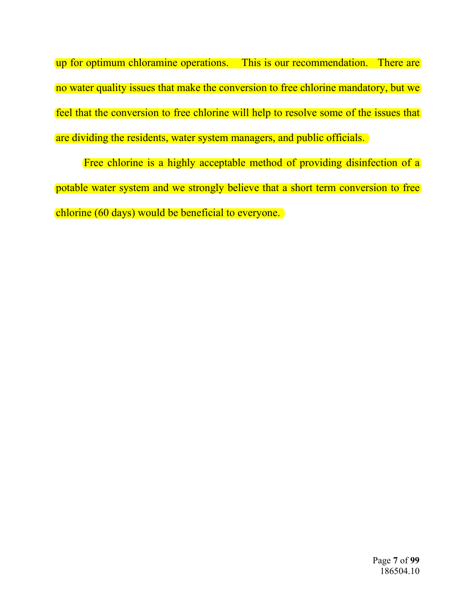up for optimum chloramine operations. This is our recommendation. There are no water quality issues that make the conversion to free chlorine mandatory, but we feel that the conversion to free chlorine will help to resolve some of the issues that are dividing the residents, water system managers, and public officials.

Free chlorine is a highly acceptable method of providing disinfection of a potable water system and we strongly believe that a short term conversion to free chlorine (60 days) would be beneficial to everyone.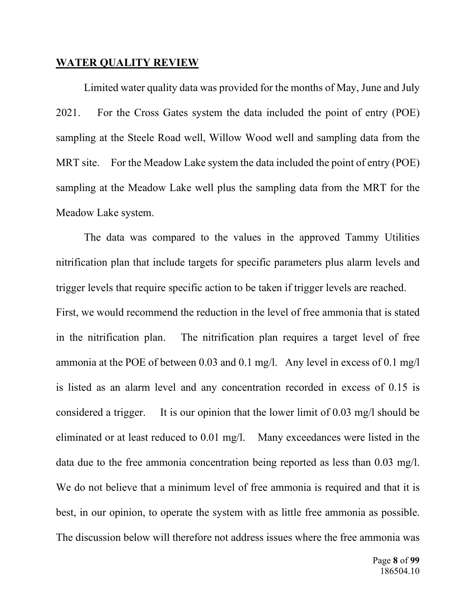#### **WATER QUALITY REVIEW**

Limited water quality data was provided for the months of May, June and July 2021. For the Cross Gates system the data included the point of entry (POE) sampling at the Steele Road well, Willow Wood well and sampling data from the MRT site. For the Meadow Lake system the data included the point of entry (POE) sampling at the Meadow Lake well plus the sampling data from the MRT for the Meadow Lake system.

The data was compared to the values in the approved Tammy Utilities nitrification plan that include targets for specific parameters plus alarm levels and trigger levels that require specific action to be taken if trigger levels are reached. First, we would recommend the reduction in the level of free ammonia that is stated in the nitrification plan. The nitrification plan requires a target level of free ammonia at the POE of between 0.03 and 0.1 mg/l. Any level in excess of 0.1 mg/l is listed as an alarm level and any concentration recorded in excess of 0.15 is considered a trigger. It is our opinion that the lower limit of 0.03 mg/l should be eliminated or at least reduced to 0.01 mg/l. Many exceedances were listed in the data due to the free ammonia concentration being reported as less than 0.03 mg/l. We do not believe that a minimum level of free ammonia is required and that it is best, in our opinion, to operate the system with as little free ammonia as possible. The discussion below will therefore not address issues where the free ammonia was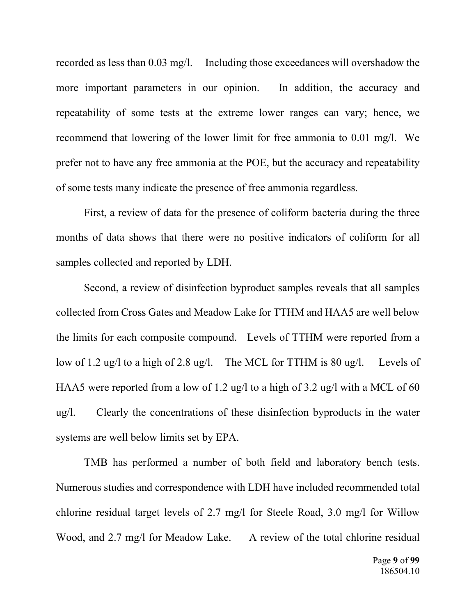recorded as less than 0.03 mg/l. Including those exceedances will overshadow the more important parameters in our opinion. In addition, the accuracy and repeatability of some tests at the extreme lower ranges can vary; hence, we recommend that lowering of the lower limit for free ammonia to 0.01 mg/l. We prefer not to have any free ammonia at the POE, but the accuracy and repeatability of some tests many indicate the presence of free ammonia regardless.

 First, a review of data for the presence of coliform bacteria during the three months of data shows that there were no positive indicators of coliform for all samples collected and reported by LDH.

 Second, a review of disinfection byproduct samples reveals that all samples collected from Cross Gates and Meadow Lake for TTHM and HAA5 are well below the limits for each composite compound. Levels of TTHM were reported from a low of 1.2 ug/l to a high of 2.8 ug/l. The MCL for TTHM is 80 ug/l. Levels of HAA5 were reported from a low of 1.2 ug/l to a high of 3.2 ug/l with a MCL of 60 ug/l. Clearly the concentrations of these disinfection byproducts in the water systems are well below limits set by EPA.

TMB has performed a number of both field and laboratory bench tests. Numerous studies and correspondence with LDH have included recommended total chlorine residual target levels of 2.7 mg/l for Steele Road, 3.0 mg/l for Willow Wood, and 2.7 mg/l for Meadow Lake. A review of the total chlorine residual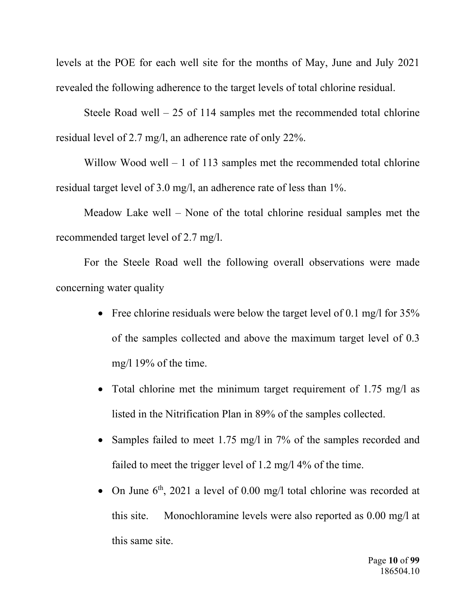levels at the POE for each well site for the months of May, June and July 2021 revealed the following adherence to the target levels of total chlorine residual.

Steele Road well  $-25$  of 114 samples met the recommended total chlorine residual level of 2.7 mg/l, an adherence rate of only 22%.

Willow Wood well  $-1$  of 113 samples met the recommended total chlorine residual target level of 3.0 mg/l, an adherence rate of less than 1%.

Meadow Lake well – None of the total chlorine residual samples met the recommended target level of 2.7 mg/l.

For the Steele Road well the following overall observations were made concerning water quality

- Free chlorine residuals were below the target level of 0.1 mg/l for  $35\%$ of the samples collected and above the maximum target level of 0.3 mg/l 19% of the time.
- Total chlorine met the minimum target requirement of 1.75 mg/l as listed in the Nitrification Plan in 89% of the samples collected.
- Samples failed to meet 1.75 mg/l in 7% of the samples recorded and failed to meet the trigger level of 1.2 mg/l 4% of the time.
- On June  $6<sup>th</sup>$ , 2021 a level of 0.00 mg/l total chlorine was recorded at this site. Monochloramine levels were also reported as 0.00 mg/l at this same site.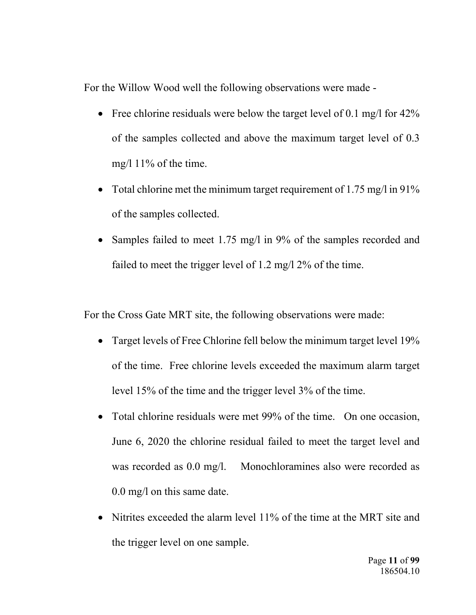For the Willow Wood well the following observations were made -

- Free chlorine residuals were below the target level of 0.1 mg/l for  $42\%$ of the samples collected and above the maximum target level of 0.3 mg/l 11% of the time.
- Total chlorine met the minimum target requirement of 1.75 mg/l in 91% of the samples collected.
- Samples failed to meet 1.75 mg/l in 9% of the samples recorded and failed to meet the trigger level of 1.2 mg/l 2% of the time.

For the Cross Gate MRT site, the following observations were made:

- Target levels of Free Chlorine fell below the minimum target level 19% of the time. Free chlorine levels exceeded the maximum alarm target level 15% of the time and the trigger level 3% of the time.
- Total chlorine residuals were met 99% of the time. On one occasion, June 6, 2020 the chlorine residual failed to meet the target level and was recorded as 0.0 mg/l. Monochloramines also were recorded as 0.0 mg/l on this same date.
- Nitrites exceeded the alarm level 11% of the time at the MRT site and the trigger level on one sample.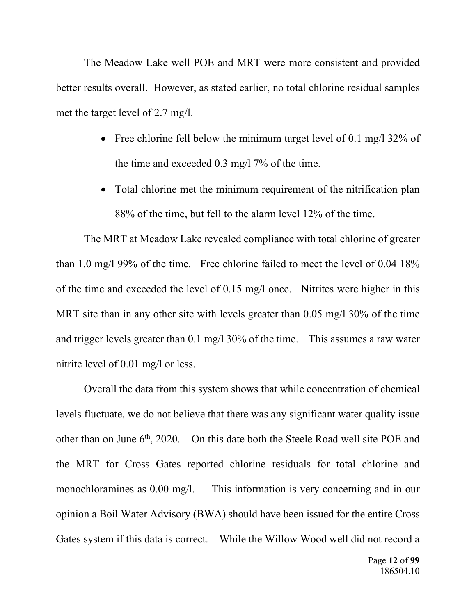The Meadow Lake well POE and MRT were more consistent and provided better results overall. However, as stated earlier, no total chlorine residual samples met the target level of 2.7 mg/l.

- Free chlorine fell below the minimum target level of 0.1 mg/l  $32\%$  of the time and exceeded 0.3 mg/l 7% of the time.
- Total chlorine met the minimum requirement of the nitrification plan 88% of the time, but fell to the alarm level 12% of the time.

The MRT at Meadow Lake revealed compliance with total chlorine of greater than 1.0 mg/l 99% of the time. Free chlorine failed to meet the level of 0.04 18% of the time and exceeded the level of 0.15 mg/l once. Nitrites were higher in this MRT site than in any other site with levels greater than 0.05 mg/l 30% of the time and trigger levels greater than 0.1 mg/l 30% of the time. This assumes a raw water nitrite level of 0.01 mg/l or less.

Overall the data from this system shows that while concentration of chemical levels fluctuate, we do not believe that there was any significant water quality issue other than on June 6<sup>th</sup>, 2020. On this date both the Steele Road well site POE and the MRT for Cross Gates reported chlorine residuals for total chlorine and monochloramines as 0.00 mg/l. This information is very concerning and in our opinion a Boil Water Advisory (BWA) should have been issued for the entire Cross Gates system if this data is correct. While the Willow Wood well did not record a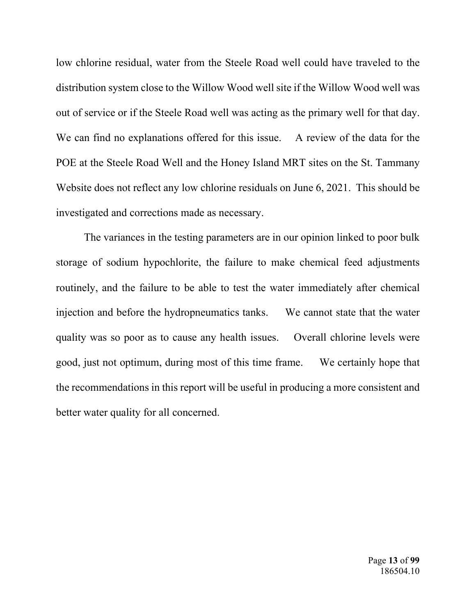low chlorine residual, water from the Steele Road well could have traveled to the distribution system close to the Willow Wood well site if the Willow Wood well was out of service or if the Steele Road well was acting as the primary well for that day. We can find no explanations offered for this issue. A review of the data for the POE at the Steele Road Well and the Honey Island MRT sites on the St. Tammany Website does not reflect any low chlorine residuals on June 6, 2021. This should be investigated and corrections made as necessary.

The variances in the testing parameters are in our opinion linked to poor bulk storage of sodium hypochlorite, the failure to make chemical feed adjustments routinely, and the failure to be able to test the water immediately after chemical injection and before the hydropneumatics tanks. We cannot state that the water quality was so poor as to cause any health issues. Overall chlorine levels were good, just not optimum, during most of this time frame. We certainly hope that the recommendations in this report will be useful in producing a more consistent and better water quality for all concerned.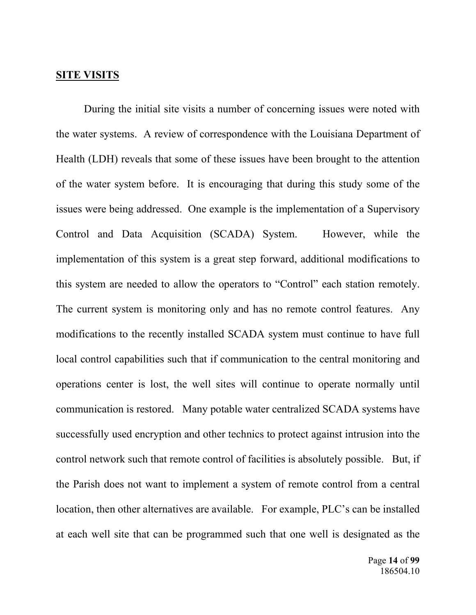#### **SITE VISITS**

During the initial site visits a number of concerning issues were noted with the water systems. A review of correspondence with the Louisiana Department of Health (LDH) reveals that some of these issues have been brought to the attention of the water system before. It is encouraging that during this study some of the issues were being addressed. One example is the implementation of a Supervisory Control and Data Acquisition (SCADA) System. However, while the implementation of this system is a great step forward, additional modifications to this system are needed to allow the operators to "Control" each station remotely. The current system is monitoring only and has no remote control features. Any modifications to the recently installed SCADA system must continue to have full local control capabilities such that if communication to the central monitoring and operations center is lost, the well sites will continue to operate normally until communication is restored. Many potable water centralized SCADA systems have successfully used encryption and other technics to protect against intrusion into the control network such that remote control of facilities is absolutely possible. But, if the Parish does not want to implement a system of remote control from a central location, then other alternatives are available. For example, PLC's can be installed at each well site that can be programmed such that one well is designated as the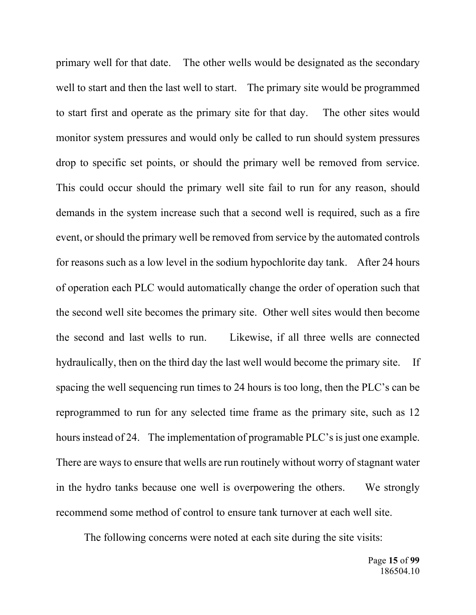primary well for that date. The other wells would be designated as the secondary well to start and then the last well to start. The primary site would be programmed to start first and operate as the primary site for that day. The other sites would monitor system pressures and would only be called to run should system pressures drop to specific set points, or should the primary well be removed from service. This could occur should the primary well site fail to run for any reason, should demands in the system increase such that a second well is required, such as a fire event, or should the primary well be removed from service by the automated controls for reasons such as a low level in the sodium hypochlorite day tank. After 24 hours of operation each PLC would automatically change the order of operation such that the second well site becomes the primary site. Other well sites would then become the second and last wells to run. Likewise, if all three wells are connected hydraulically, then on the third day the last well would become the primary site. If spacing the well sequencing run times to 24 hours is too long, then the PLC's can be reprogrammed to run for any selected time frame as the primary site, such as 12 hours instead of 24. The implementation of programable PLC's is just one example. There are ways to ensure that wells are run routinely without worry of stagnant water in the hydro tanks because one well is overpowering the others. We strongly recommend some method of control to ensure tank turnover at each well site.

The following concerns were noted at each site during the site visits: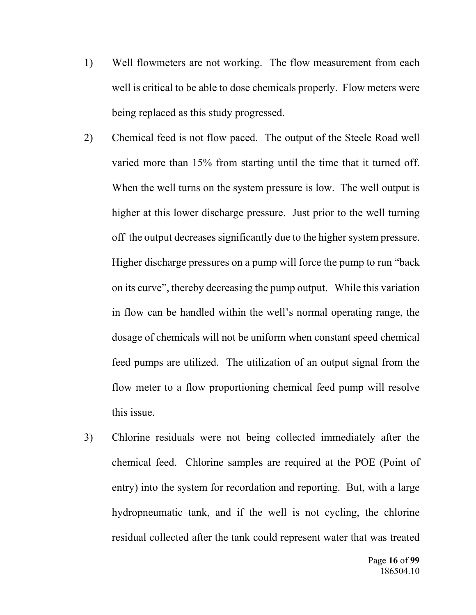- 1) Well flowmeters are not working. The flow measurement from each well is critical to be able to dose chemicals properly. Flow meters were being replaced as this study progressed.
- 2) Chemical feed is not flow paced. The output of the Steele Road well varied more than 15% from starting until the time that it turned off. When the well turns on the system pressure is low. The well output is higher at this lower discharge pressure. Just prior to the well turning off the output decreases significantly due to the higher system pressure. Higher discharge pressures on a pump will force the pump to run "back on its curve", thereby decreasing the pump output. While this variation in flow can be handled within the well's normal operating range, the dosage of chemicals will not be uniform when constant speed chemical feed pumps are utilized. The utilization of an output signal from the flow meter to a flow proportioning chemical feed pump will resolve this issue.
- 3) Chlorine residuals were not being collected immediately after the chemical feed. Chlorine samples are required at the POE (Point of entry) into the system for recordation and reporting. But, with a large hydropneumatic tank, and if the well is not cycling, the chlorine residual collected after the tank could represent water that was treated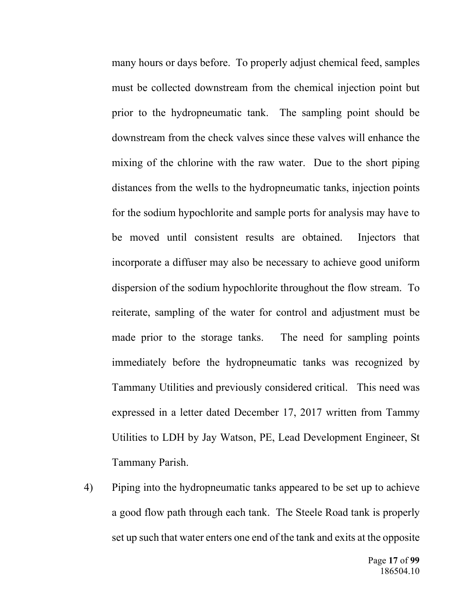many hours or days before. To properly adjust chemical feed, samples must be collected downstream from the chemical injection point but prior to the hydropneumatic tank. The sampling point should be downstream from the check valves since these valves will enhance the mixing of the chlorine with the raw water. Due to the short piping distances from the wells to the hydropneumatic tanks, injection points for the sodium hypochlorite and sample ports for analysis may have to be moved until consistent results are obtained. Injectors that incorporate a diffuser may also be necessary to achieve good uniform dispersion of the sodium hypochlorite throughout the flow stream. To reiterate, sampling of the water for control and adjustment must be made prior to the storage tanks. The need for sampling points immediately before the hydropneumatic tanks was recognized by Tammany Utilities and previously considered critical. This need was expressed in a letter dated December 17, 2017 written from Tammy Utilities to LDH by Jay Watson, PE, Lead Development Engineer, St Tammany Parish.

4) Piping into the hydropneumatic tanks appeared to be set up to achieve a good flow path through each tank. The Steele Road tank is properly set up such that water enters one end of the tank and exits at the opposite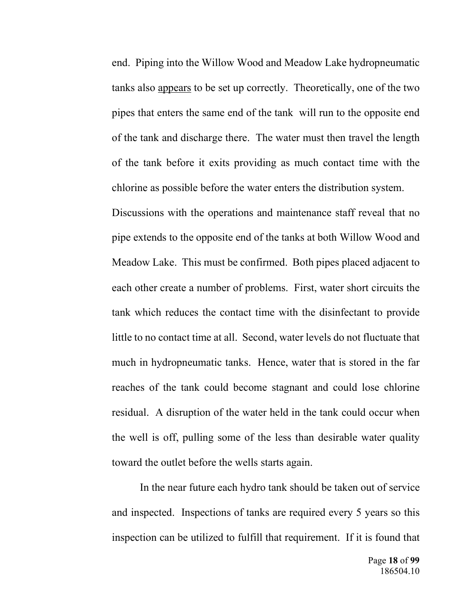end. Piping into the Willow Wood and Meadow Lake hydropneumatic tanks also appears to be set up correctly. Theoretically, one of the two pipes that enters the same end of the tank will run to the opposite end of the tank and discharge there. The water must then travel the length of the tank before it exits providing as much contact time with the chlorine as possible before the water enters the distribution system.

 Discussions with the operations and maintenance staff reveal that no pipe extends to the opposite end of the tanks at both Willow Wood and Meadow Lake. This must be confirmed. Both pipes placed adjacent to each other create a number of problems. First, water short circuits the tank which reduces the contact time with the disinfectant to provide little to no contact time at all. Second, water levels do not fluctuate that much in hydropneumatic tanks. Hence, water that is stored in the far reaches of the tank could become stagnant and could lose chlorine residual. A disruption of the water held in the tank could occur when the well is off, pulling some of the less than desirable water quality toward the outlet before the wells starts again.

In the near future each hydro tank should be taken out of service and inspected. Inspections of tanks are required every 5 years so this inspection can be utilized to fulfill that requirement. If it is found that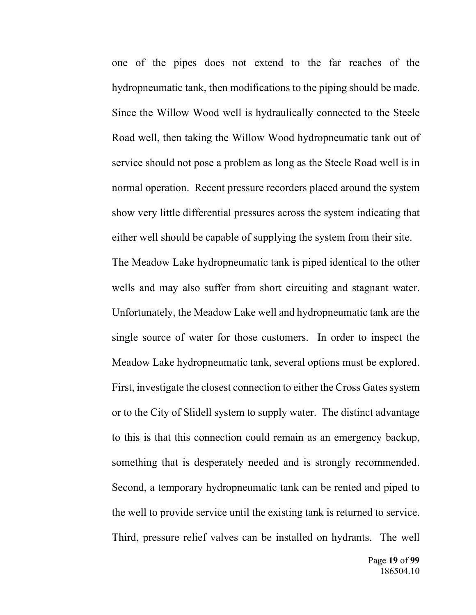one of the pipes does not extend to the far reaches of the hydropneumatic tank, then modifications to the piping should be made. Since the Willow Wood well is hydraulically connected to the Steele Road well, then taking the Willow Wood hydropneumatic tank out of service should not pose a problem as long as the Steele Road well is in normal operation. Recent pressure recorders placed around the system show very little differential pressures across the system indicating that either well should be capable of supplying the system from their site.

The Meadow Lake hydropneumatic tank is piped identical to the other wells and may also suffer from short circuiting and stagnant water. Unfortunately, the Meadow Lake well and hydropneumatic tank are the single source of water for those customers. In order to inspect the Meadow Lake hydropneumatic tank, several options must be explored. First, investigate the closest connection to either the Cross Gates system or to the City of Slidell system to supply water. The distinct advantage to this is that this connection could remain as an emergency backup, something that is desperately needed and is strongly recommended. Second, a temporary hydropneumatic tank can be rented and piped to the well to provide service until the existing tank is returned to service. Third, pressure relief valves can be installed on hydrants. The well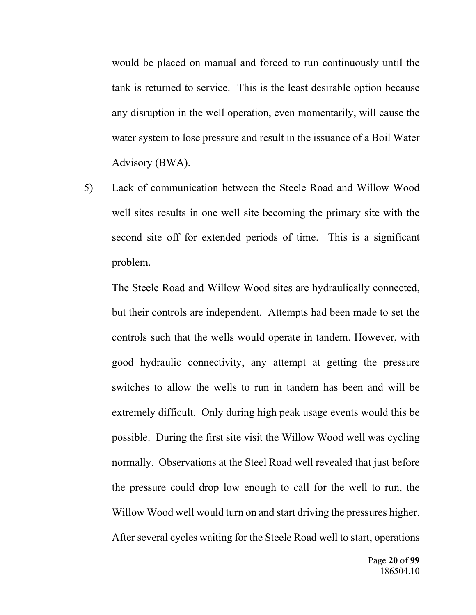would be placed on manual and forced to run continuously until the tank is returned to service. This is the least desirable option because any disruption in the well operation, even momentarily, will cause the water system to lose pressure and result in the issuance of a Boil Water Advisory (BWA).

5) Lack of communication between the Steele Road and Willow Wood well sites results in one well site becoming the primary site with the second site off for extended periods of time. This is a significant problem.

The Steele Road and Willow Wood sites are hydraulically connected, but their controls are independent. Attempts had been made to set the controls such that the wells would operate in tandem. However, with good hydraulic connectivity, any attempt at getting the pressure switches to allow the wells to run in tandem has been and will be extremely difficult. Only during high peak usage events would this be possible. During the first site visit the Willow Wood well was cycling normally. Observations at the Steel Road well revealed that just before the pressure could drop low enough to call for the well to run, the Willow Wood well would turn on and start driving the pressures higher. After several cycles waiting for the Steele Road well to start, operations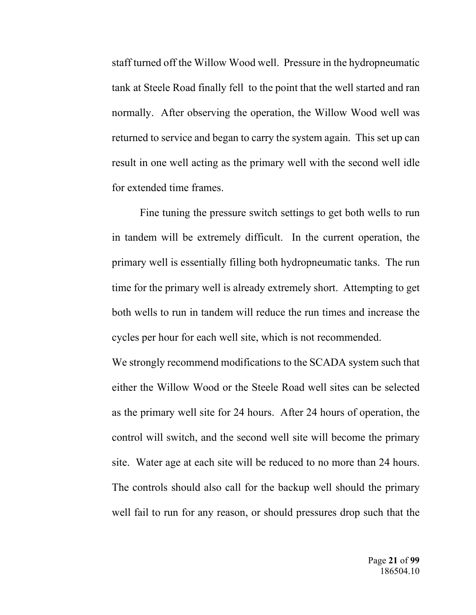staff turned off the Willow Wood well. Pressure in the hydropneumatic tank at Steele Road finally fell to the point that the well started and ran normally. After observing the operation, the Willow Wood well was returned to service and began to carry the system again. This set up can result in one well acting as the primary well with the second well idle for extended time frames.

 Fine tuning the pressure switch settings to get both wells to run in tandem will be extremely difficult. In the current operation, the primary well is essentially filling both hydropneumatic tanks. The run time for the primary well is already extremely short. Attempting to get both wells to run in tandem will reduce the run times and increase the cycles per hour for each well site, which is not recommended.

 We strongly recommend modifications to the SCADA system such that either the Willow Wood or the Steele Road well sites can be selected as the primary well site for 24 hours. After 24 hours of operation, the control will switch, and the second well site will become the primary site. Water age at each site will be reduced to no more than 24 hours. The controls should also call for the backup well should the primary well fail to run for any reason, or should pressures drop such that the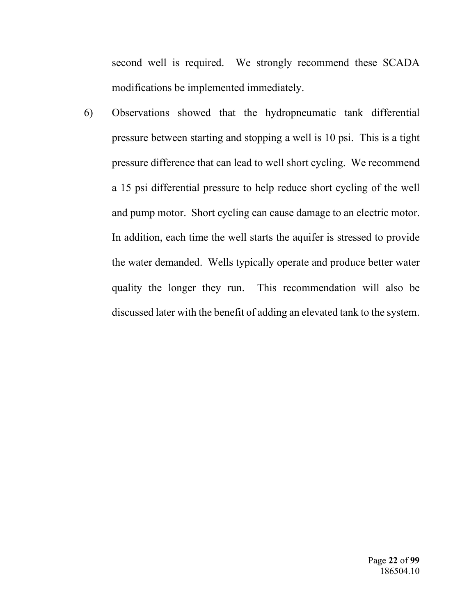second well is required. We strongly recommend these SCADA modifications be implemented immediately.

6) Observations showed that the hydropneumatic tank differential pressure between starting and stopping a well is 10 psi. This is a tight pressure difference that can lead to well short cycling. We recommend a 15 psi differential pressure to help reduce short cycling of the well and pump motor. Short cycling can cause damage to an electric motor. In addition, each time the well starts the aquifer is stressed to provide the water demanded. Wells typically operate and produce better water quality the longer they run. This recommendation will also be discussed later with the benefit of adding an elevated tank to the system.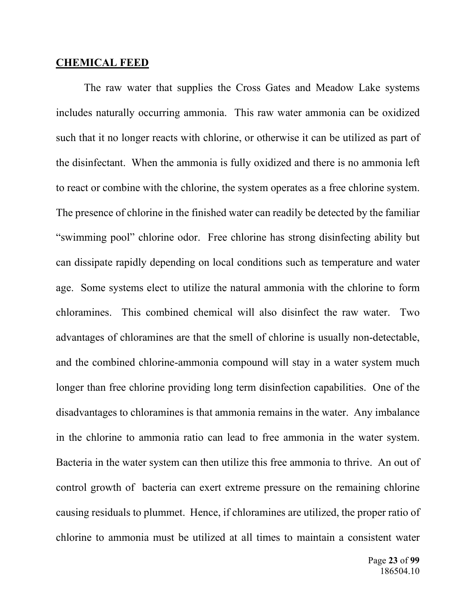#### **CHEMICAL FEED**

 The raw water that supplies the Cross Gates and Meadow Lake systems includes naturally occurring ammonia. This raw water ammonia can be oxidized such that it no longer reacts with chlorine, or otherwise it can be utilized as part of the disinfectant. When the ammonia is fully oxidized and there is no ammonia left to react or combine with the chlorine, the system operates as a free chlorine system. The presence of chlorine in the finished water can readily be detected by the familiar "swimming pool" chlorine odor. Free chlorine has strong disinfecting ability but can dissipate rapidly depending on local conditions such as temperature and water age. Some systems elect to utilize the natural ammonia with the chlorine to form chloramines. This combined chemical will also disinfect the raw water. Two advantages of chloramines are that the smell of chlorine is usually non-detectable, and the combined chlorine-ammonia compound will stay in a water system much longer than free chlorine providing long term disinfection capabilities. One of the disadvantages to chloramines is that ammonia remains in the water. Any imbalance in the chlorine to ammonia ratio can lead to free ammonia in the water system. Bacteria in the water system can then utilize this free ammonia to thrive. An out of control growth of bacteria can exert extreme pressure on the remaining chlorine causing residuals to plummet. Hence, if chloramines are utilized, the proper ratio of chlorine to ammonia must be utilized at all times to maintain a consistent water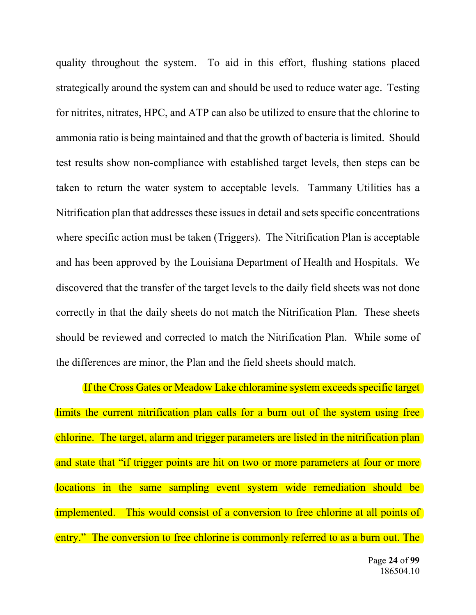quality throughout the system. To aid in this effort, flushing stations placed strategically around the system can and should be used to reduce water age. Testing for nitrites, nitrates, HPC, and ATP can also be utilized to ensure that the chlorine to ammonia ratio is being maintained and that the growth of bacteria is limited. Should test results show non-compliance with established target levels, then steps can be taken to return the water system to acceptable levels. Tammany Utilities has a Nitrification plan that addresses these issues in detail and sets specific concentrations where specific action must be taken (Triggers). The Nitrification Plan is acceptable and has been approved by the Louisiana Department of Health and Hospitals. We discovered that the transfer of the target levels to the daily field sheets was not done correctly in that the daily sheets do not match the Nitrification Plan. These sheets should be reviewed and corrected to match the Nitrification Plan. While some of the differences are minor, the Plan and the field sheets should match.

 If the Cross Gates or Meadow Lake chloramine system exceeds specific target limits the current nitrification plan calls for a burn out of the system using free chlorine. The target, alarm and trigger parameters are listed in the nitrification plan and state that "if trigger points are hit on two or more parameters at four or more locations in the same sampling event system wide remediation should be implemented. This would consist of a conversion to free chlorine at all points of entry." The conversion to free chlorine is commonly referred to as a burn out. The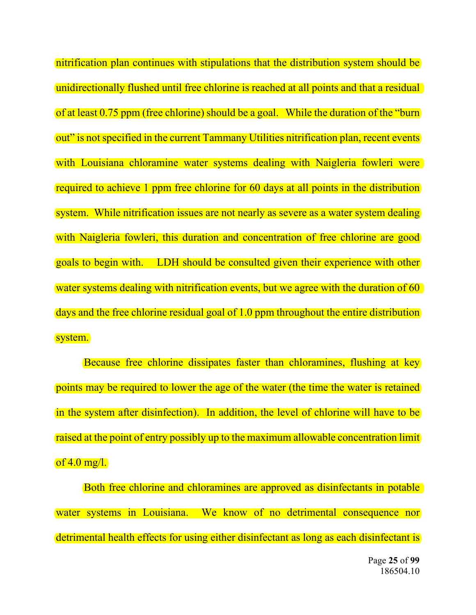nitrification plan continues with stipulations that the distribution system should be unidirectionally flushed until free chlorine is reached at all points and that a residual of at least 0.75 ppm (free chlorine) should be a goal. While the duration of the "burn out" is not specified in the current Tammany Utilities nitrification plan, recent events with Louisiana chloramine water systems dealing with Naigleria fowleri were required to achieve 1 ppm free chlorine for 60 days at all points in the distribution system. While nitrification issues are not nearly as severe as a water system dealing with Naigleria fowleri, this duration and concentration of free chlorine are good goals to begin with. LDH should be consulted given their experience with other water systems dealing with nitrification events, but we agree with the duration of 60 days and the free chlorine residual goal of 1.0 ppm throughout the entire distribution system.

Because free chlorine dissipates faster than chloramines, flushing at key points may be required to lower the age of the water (the time the water is retained in the system after disinfection). In addition, the level of chlorine will have to be raised at the point of entry possibly up to the maximum allowable concentration limit of  $4.0 \text{ mg/l}$ .

Both free chlorine and chloramines are approved as disinfectants in potable water systems in Louisiana. We know of no detrimental consequence nor detrimental health effects for using either disinfectant as long as each disinfectant is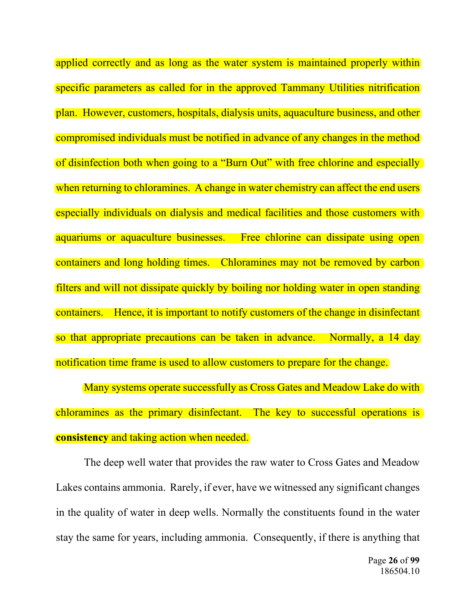applied correctly and as long as the water system is maintained properly within specific parameters as called for in the approved Tammany Utilities nitrification plan. However, customers, hospitals, dialysis units, aquaculture business, and other compromised individuals must be notified in advance of any changes in the method of disinfection both when going to a "Burn Out" with free chlorine and especially when returning to chloramines. A change in water chemistry can affect the end users especially individuals on dialysis and medical facilities and those customers with aquariums or aquaculture businesses. Free chlorine can dissipate using open containers and long holding times. Chloramines may not be removed by carbon filters and will not dissipate quickly by boiling nor holding water in open standing containers. Hence, it is important to notify customers of the change in disinfectant so that appropriate precautions can be taken in advance. Normally, a 14 day notification time frame is used to allow customers to prepare for the change.

 Many systems operate successfully as Cross Gates and Meadow Lake do with chloramines as the primary disinfectant. The key to successful operations is **consistency** and taking action when needed.

 The deep well water that provides the raw water to Cross Gates and Meadow Lakes contains ammonia. Rarely, if ever, have we witnessed any significant changes in the quality of water in deep wells. Normally the constituents found in the water stay the same for years, including ammonia. Consequently, if there is anything that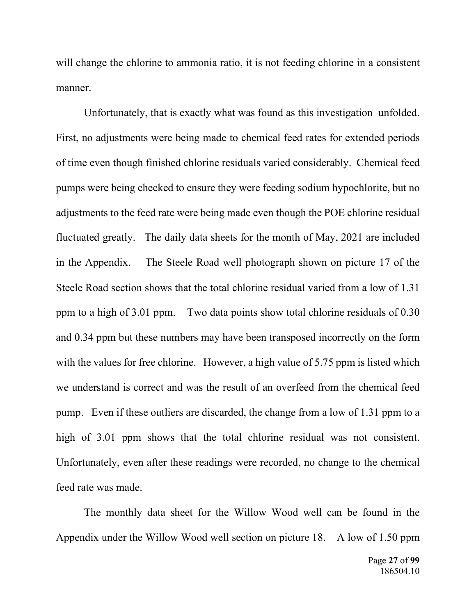will change the chlorine to ammonia ratio, it is not feeding chlorine in a consistent manner.

 Unfortunately, that is exactly what was found as this investigation unfolded. First, no adjustments were being made to chemical feed rates for extended periods of time even though finished chlorine residuals varied considerably. Chemical feed pumps were being checked to ensure they were feeding sodium hypochlorite, but no adjustments to the feed rate were being made even though the POE chlorine residual fluctuated greatly. The daily data sheets for the month of May, 2021 are included in the Appendix. The Steele Road well photograph shown on picture 17 of the Steele Road section shows that the total chlorine residual varied from a low of 1.31 ppm to a high of 3.01 ppm. Two data points show total chlorine residuals of 0.30 and 0.34 ppm but these numbers may have been transposed incorrectly on the form with the values for free chlorine. However, a high value of 5.75 ppm is listed which we understand is correct and was the result of an overfeed from the chemical feed pump. Even if these outliers are discarded, the change from a low of 1.31 ppm to a high of 3.01 ppm shows that the total chlorine residual was not consistent. Unfortunately, even after these readings were recorded, no change to the chemical feed rate was made.

 The monthly data sheet for the Willow Wood well can be found in the Appendix under the Willow Wood well section on picture 18. A low of 1.50 ppm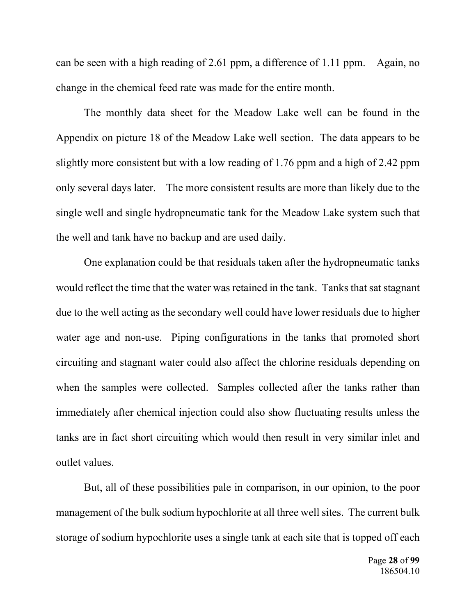can be seen with a high reading of 2.61 ppm, a difference of 1.11 ppm. Again, no change in the chemical feed rate was made for the entire month.

 The monthly data sheet for the Meadow Lake well can be found in the Appendix on picture 18 of the Meadow Lake well section. The data appears to be slightly more consistent but with a low reading of 1.76 ppm and a high of 2.42 ppm only several days later. The more consistent results are more than likely due to the single well and single hydropneumatic tank for the Meadow Lake system such that the well and tank have no backup and are used daily.

 One explanation could be that residuals taken after the hydropneumatic tanks would reflect the time that the water was retained in the tank. Tanks that sat stagnant due to the well acting as the secondary well could have lower residuals due to higher water age and non-use. Piping configurations in the tanks that promoted short circuiting and stagnant water could also affect the chlorine residuals depending on when the samples were collected. Samples collected after the tanks rather than immediately after chemical injection could also show fluctuating results unless the tanks are in fact short circuiting which would then result in very similar inlet and outlet values.

 But, all of these possibilities pale in comparison, in our opinion, to the poor management of the bulk sodium hypochlorite at all three well sites. The current bulk storage of sodium hypochlorite uses a single tank at each site that is topped off each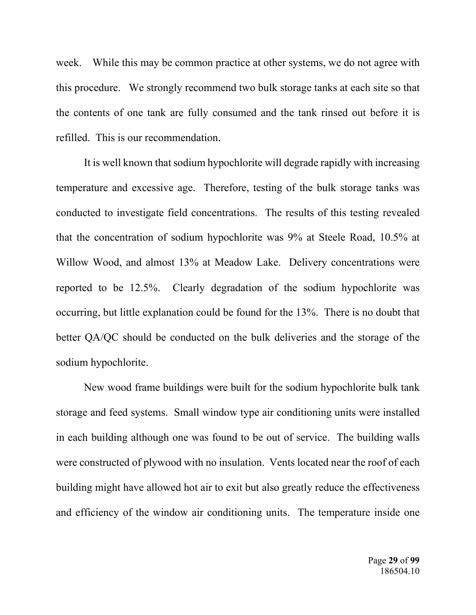week. While this may be common practice at other systems, we do not agree with this procedure. We strongly recommend two bulk storage tanks at each site so that the contents of one tank are fully consumed and the tank rinsed out before it is refilled. This is our recommendation.

It is well known that sodium hypochlorite will degrade rapidly with increasing temperature and excessive age. Therefore, testing of the bulk storage tanks was conducted to investigate field concentrations. The results of this testing revealed that the concentration of sodium hypochlorite was 9% at Steele Road, 10.5% at Willow Wood, and almost 13% at Meadow Lake. Delivery concentrations were reported to be 12.5%. Clearly degradation of the sodium hypochlorite was occurring, but little explanation could be found for the 13%. There is no doubt that better QA/QC should be conducted on the bulk deliveries and the storage of the sodium hypochlorite.

 New wood frame buildings were built for the sodium hypochlorite bulk tank storage and feed systems. Small window type air conditioning units were installed in each building although one was found to be out of service. The building walls were constructed of plywood with no insulation. Vents located near the roof of each building might have allowed hot air to exit but also greatly reduce the effectiveness and efficiency of the window air conditioning units. The temperature inside one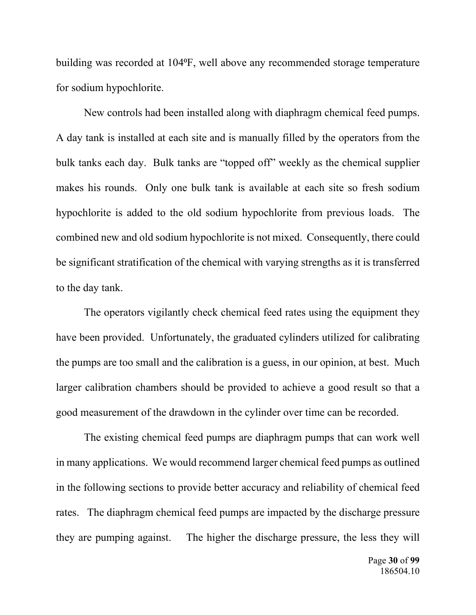building was recorded at 104°F, well above any recommended storage temperature for sodium hypochlorite.

 New controls had been installed along with diaphragm chemical feed pumps. A day tank is installed at each site and is manually filled by the operators from the bulk tanks each day. Bulk tanks are "topped off" weekly as the chemical supplier makes his rounds. Only one bulk tank is available at each site so fresh sodium hypochlorite is added to the old sodium hypochlorite from previous loads. The combined new and old sodium hypochlorite is not mixed. Consequently, there could be significant stratification of the chemical with varying strengths as it is transferred to the day tank.

 The operators vigilantly check chemical feed rates using the equipment they have been provided. Unfortunately, the graduated cylinders utilized for calibrating the pumps are too small and the calibration is a guess, in our opinion, at best. Much larger calibration chambers should be provided to achieve a good result so that a good measurement of the drawdown in the cylinder over time can be recorded.

 The existing chemical feed pumps are diaphragm pumps that can work well in many applications. We would recommend larger chemical feed pumps as outlined in the following sections to provide better accuracy and reliability of chemical feed rates. The diaphragm chemical feed pumps are impacted by the discharge pressure they are pumping against. The higher the discharge pressure, the less they will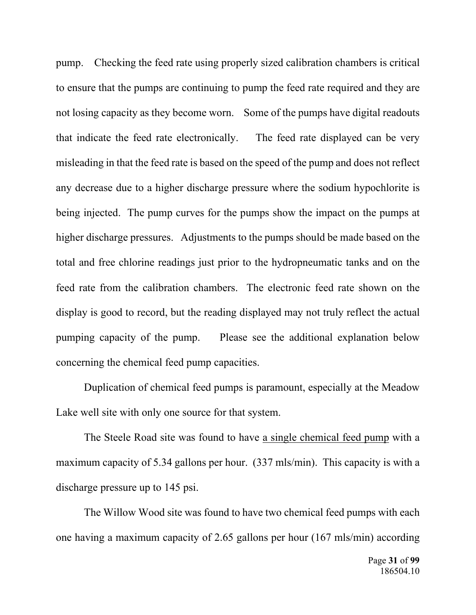pump. Checking the feed rate using properly sized calibration chambers is critical to ensure that the pumps are continuing to pump the feed rate required and they are not losing capacity as they become worn. Some of the pumps have digital readouts that indicate the feed rate electronically. The feed rate displayed can be very misleading in that the feed rate is based on the speed of the pump and does not reflect any decrease due to a higher discharge pressure where the sodium hypochlorite is being injected. The pump curves for the pumps show the impact on the pumps at higher discharge pressures. Adjustments to the pumps should be made based on the total and free chlorine readings just prior to the hydropneumatic tanks and on the feed rate from the calibration chambers. The electronic feed rate shown on the display is good to record, but the reading displayed may not truly reflect the actual pumping capacity of the pump. Please see the additional explanation below concerning the chemical feed pump capacities.

 Duplication of chemical feed pumps is paramount, especially at the Meadow Lake well site with only one source for that system.

 The Steele Road site was found to have a single chemical feed pump with a maximum capacity of 5.34 gallons per hour. (337 mls/min). This capacity is with a discharge pressure up to 145 psi.

 The Willow Wood site was found to have two chemical feed pumps with each one having a maximum capacity of 2.65 gallons per hour (167 mls/min) according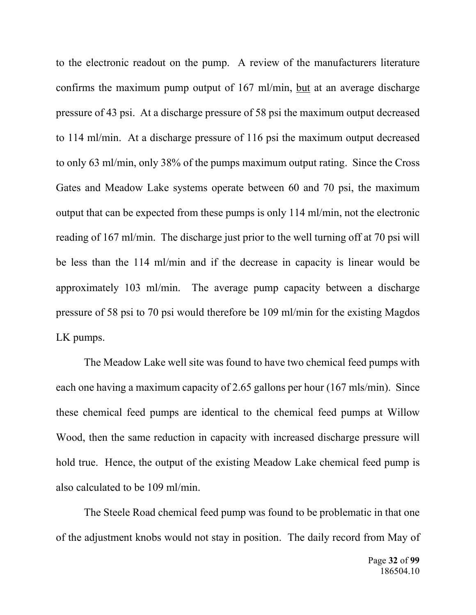to the electronic readout on the pump. A review of the manufacturers literature confirms the maximum pump output of 167 ml/min, but at an average discharge pressure of 43 psi. At a discharge pressure of 58 psi the maximum output decreased to 114 ml/min. At a discharge pressure of 116 psi the maximum output decreased to only 63 ml/min, only 38% of the pumps maximum output rating. Since the Cross Gates and Meadow Lake systems operate between 60 and 70 psi, the maximum output that can be expected from these pumps is only 114 ml/min, not the electronic reading of 167 ml/min. The discharge just prior to the well turning off at 70 psi will be less than the 114 ml/min and if the decrease in capacity is linear would be approximately 103 ml/min. The average pump capacity between a discharge pressure of 58 psi to 70 psi would therefore be 109 ml/min for the existing Magdos LK pumps.

 The Meadow Lake well site was found to have two chemical feed pumps with each one having a maximum capacity of 2.65 gallons per hour (167 mls/min). Since these chemical feed pumps are identical to the chemical feed pumps at Willow Wood, then the same reduction in capacity with increased discharge pressure will hold true. Hence, the output of the existing Meadow Lake chemical feed pump is also calculated to be 109 ml/min.

 The Steele Road chemical feed pump was found to be problematic in that one of the adjustment knobs would not stay in position. The daily record from May of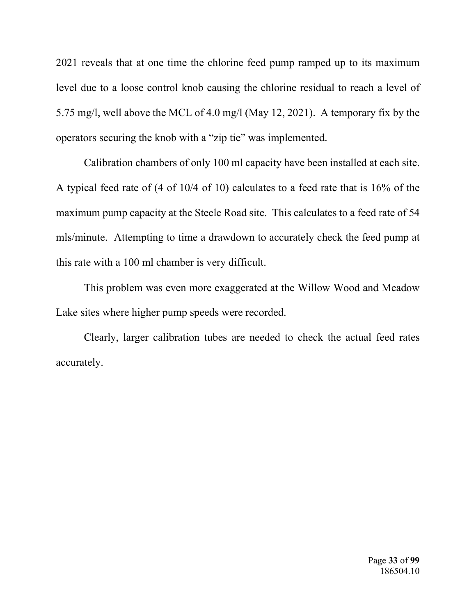2021 reveals that at one time the chlorine feed pump ramped up to its maximum level due to a loose control knob causing the chlorine residual to reach a level of 5.75 mg/l, well above the MCL of 4.0 mg/l (May 12, 2021). A temporary fix by the operators securing the knob with a "zip tie" was implemented.

 Calibration chambers of only 100 ml capacity have been installed at each site. A typical feed rate of (4 of 10/4 of 10) calculates to a feed rate that is 16% of the maximum pump capacity at the Steele Road site. This calculates to a feed rate of 54 mls/minute. Attempting to time a drawdown to accurately check the feed pump at this rate with a 100 ml chamber is very difficult.

 This problem was even more exaggerated at the Willow Wood and Meadow Lake sites where higher pump speeds were recorded.

 Clearly, larger calibration tubes are needed to check the actual feed rates accurately.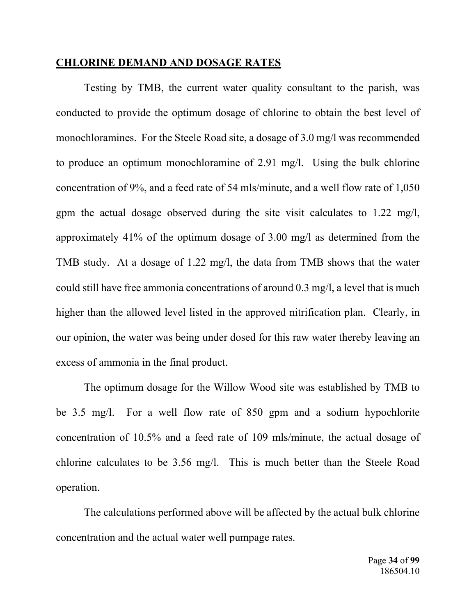#### **CHLORINE DEMAND AND DOSAGE RATES**

 Testing by TMB, the current water quality consultant to the parish, was conducted to provide the optimum dosage of chlorine to obtain the best level of monochloramines. For the Steele Road site, a dosage of 3.0 mg/l was recommended to produce an optimum monochloramine of 2.91 mg/l. Using the bulk chlorine concentration of 9%, and a feed rate of 54 mls/minute, and a well flow rate of 1,050 gpm the actual dosage observed during the site visit calculates to 1.22 mg/l, approximately 41% of the optimum dosage of 3.00 mg/l as determined from the TMB study. At a dosage of 1.22 mg/l, the data from TMB shows that the water could still have free ammonia concentrations of around 0.3 mg/l, a level that is much higher than the allowed level listed in the approved nitrification plan. Clearly, in our opinion, the water was being under dosed for this raw water thereby leaving an excess of ammonia in the final product.

 The optimum dosage for the Willow Wood site was established by TMB to be 3.5 mg/l. For a well flow rate of 850 gpm and a sodium hypochlorite concentration of 10.5% and a feed rate of 109 mls/minute, the actual dosage of chlorine calculates to be 3.56 mg/l. This is much better than the Steele Road operation.

 The calculations performed above will be affected by the actual bulk chlorine concentration and the actual water well pumpage rates.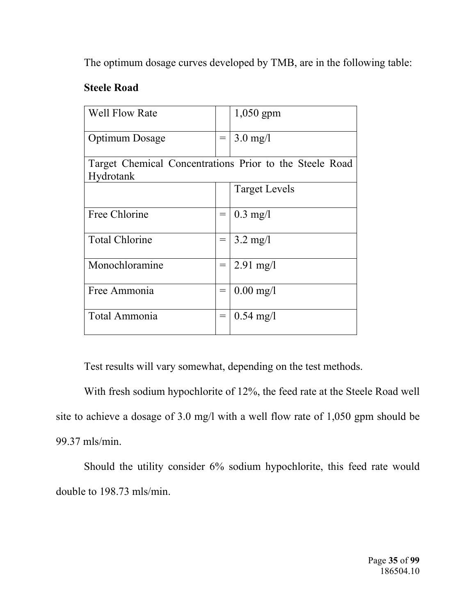The optimum dosage curves developed by TMB, are in the following table:

### **Steele Road**

| <b>Well Flow Rate</b>                                                |     | $1,050$ gpm          |  |  |  |  |
|----------------------------------------------------------------------|-----|----------------------|--|--|--|--|
| Optimum Dosage                                                       | $=$ | $3.0 \text{ mg}/l$   |  |  |  |  |
| Target Chemical Concentrations Prior to the Steele Road<br>Hydrotank |     |                      |  |  |  |  |
|                                                                      |     | <b>Target Levels</b> |  |  |  |  |
| Free Chlorine                                                        | $=$ | $0.3$ mg/l           |  |  |  |  |
| <b>Total Chlorine</b>                                                | $=$ | $3.2 \text{ mg/l}$   |  |  |  |  |
| Monochloramine                                                       | $=$ | $2.91 \text{ mg}/1$  |  |  |  |  |
| Free Ammonia                                                         | $=$ | $0.00$ mg/l          |  |  |  |  |
| Total Ammonia                                                        | $=$ | $0.54 \text{ mg}/1$  |  |  |  |  |

Test results will vary somewhat, depending on the test methods.

 With fresh sodium hypochlorite of 12%, the feed rate at the Steele Road well site to achieve a dosage of 3.0 mg/l with a well flow rate of 1,050 gpm should be 99.37 mls/min.

Should the utility consider 6% sodium hypochlorite, this feed rate would double to 198.73 mls/min.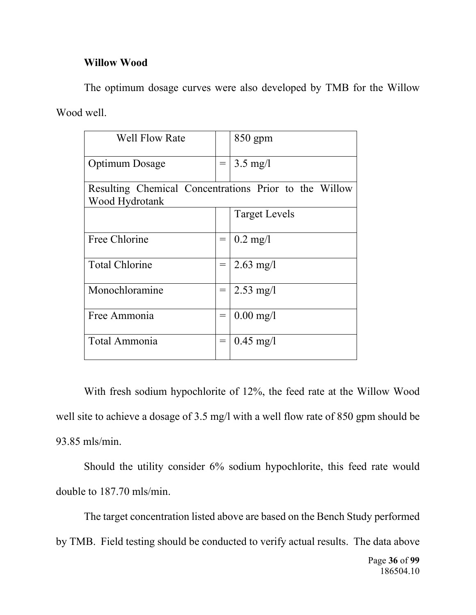# **Willow Wood**

The optimum dosage curves were also developed by TMB for the Willow Wood well.

| <b>Well Flow Rate</b>                                                   |                 | 850 gpm                |
|-------------------------------------------------------------------------|-----------------|------------------------|
| Optimum Dosage                                                          | $\!\!\!=\!\!\!$ | $3.5 \text{ mg}/l$     |
| Resulting Chemical Concentrations Prior to the Willow<br>Wood Hydrotank |                 |                        |
|                                                                         |                 | <b>Target Levels</b>   |
| Free Chlorine                                                           | $\!\!\!=\!\!\!$ | $0.2 \text{ mg}/l$     |
| <b>Total Chlorine</b>                                                   | $=$             | $2.63 \text{ mg}/l$    |
| Monochloramine                                                          | $\!\!\!=\!\!\!$ | $2.53 \text{ mg}/1$    |
| Free Ammonia                                                            | $=$             | $0.00 \,\mathrm{mg}/l$ |
| Total Ammonia                                                           | $=$             | $0.45 \text{ mg}/l$    |

 With fresh sodium hypochlorite of 12%, the feed rate at the Willow Wood well site to achieve a dosage of 3.5 mg/l with a well flow rate of 850 gpm should be 93.85 mls/min.

 Should the utility consider 6% sodium hypochlorite, this feed rate would double to 187.70 mls/min.

Page **36** of **99**  186504.10 The target concentration listed above are based on the Bench Study performed by TMB. Field testing should be conducted to verify actual results. The data above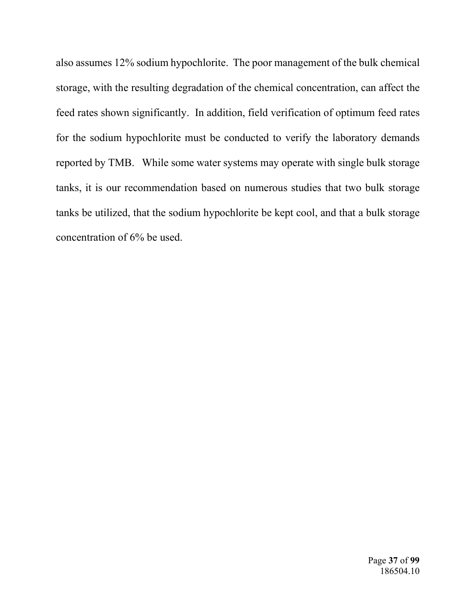also assumes 12% sodium hypochlorite. The poor management of the bulk chemical storage, with the resulting degradation of the chemical concentration, can affect the feed rates shown significantly. In addition, field verification of optimum feed rates for the sodium hypochlorite must be conducted to verify the laboratory demands reported by TMB. While some water systems may operate with single bulk storage tanks, it is our recommendation based on numerous studies that two bulk storage tanks be utilized, that the sodium hypochlorite be kept cool, and that a bulk storage concentration of 6% be used.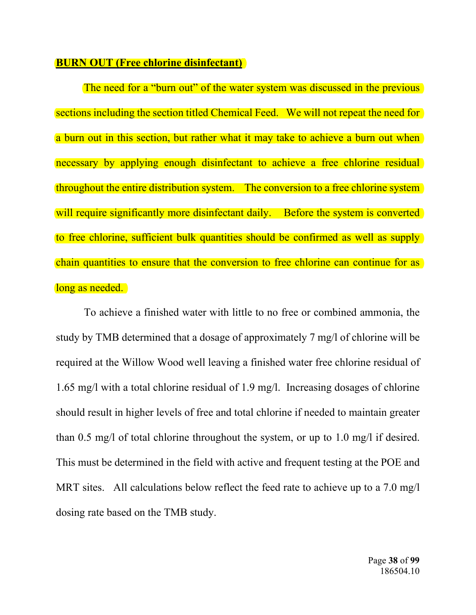### **BURN OUT (Free chlorine disinfectant)**

The need for a "burn out" of the water system was discussed in the previous sections including the section titled Chemical Feed. We will not repeat the need for a burn out in this section, but rather what it may take to achieve a burn out when necessary by applying enough disinfectant to achieve a free chlorine residual throughout the entire distribution system. The conversion to a free chlorine system will require significantly more disinfectant daily. Before the system is converted to free chlorine, sufficient bulk quantities should be confirmed as well as supply chain quantities to ensure that the conversion to free chlorine can continue for as long as needed.

To achieve a finished water with little to no free or combined ammonia, the study by TMB determined that a dosage of approximately 7 mg/l of chlorine will be required at the Willow Wood well leaving a finished water free chlorine residual of 1.65 mg/l with a total chlorine residual of 1.9 mg/l. Increasing dosages of chlorine should result in higher levels of free and total chlorine if needed to maintain greater than 0.5 mg/l of total chlorine throughout the system, or up to 1.0 mg/l if desired. This must be determined in the field with active and frequent testing at the POE and MRT sites. All calculations below reflect the feed rate to achieve up to a 7.0 mg/l dosing rate based on the TMB study.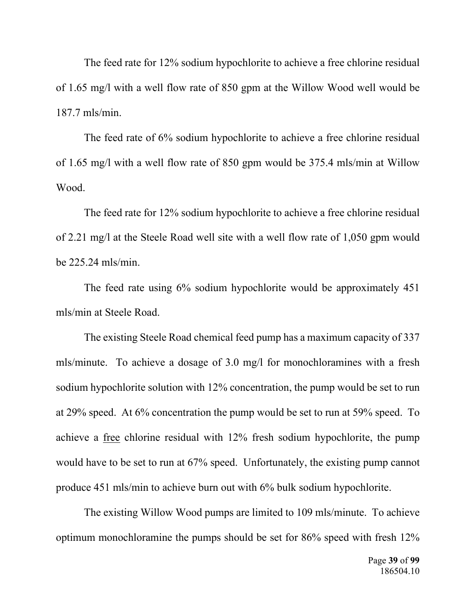The feed rate for 12% sodium hypochlorite to achieve a free chlorine residual of 1.65 mg/l with a well flow rate of 850 gpm at the Willow Wood well would be 187.7 mls/min.

 The feed rate of 6% sodium hypochlorite to achieve a free chlorine residual of 1.65 mg/l with a well flow rate of 850 gpm would be 375.4 mls/min at Willow Wood.

The feed rate for 12% sodium hypochlorite to achieve a free chlorine residual of 2.21 mg/l at the Steele Road well site with a well flow rate of 1,050 gpm would be 225.24 mls/min.

 The feed rate using 6% sodium hypochlorite would be approximately 451 mls/min at Steele Road.

 The existing Steele Road chemical feed pump has a maximum capacity of 337 mls/minute. To achieve a dosage of 3.0 mg/l for monochloramines with a fresh sodium hypochlorite solution with 12% concentration, the pump would be set to run at 29% speed. At 6% concentration the pump would be set to run at 59% speed. To achieve a free chlorine residual with 12% fresh sodium hypochlorite, the pump would have to be set to run at 67% speed. Unfortunately, the existing pump cannot produce 451 mls/min to achieve burn out with 6% bulk sodium hypochlorite.

 The existing Willow Wood pumps are limited to 109 mls/minute. To achieve optimum monochloramine the pumps should be set for 86% speed with fresh 12%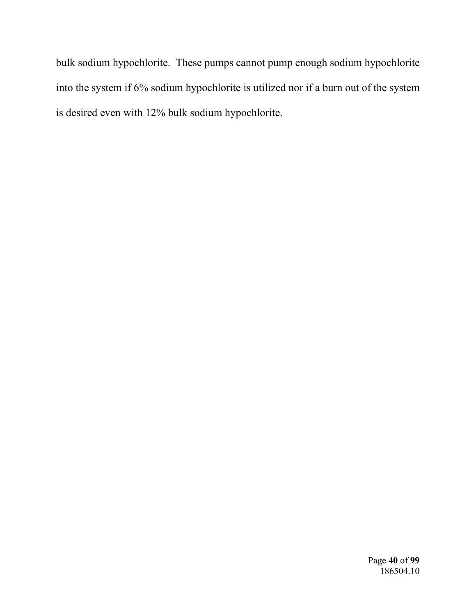bulk sodium hypochlorite. These pumps cannot pump enough sodium hypochlorite into the system if 6% sodium hypochlorite is utilized nor if a burn out of the system is desired even with 12% bulk sodium hypochlorite.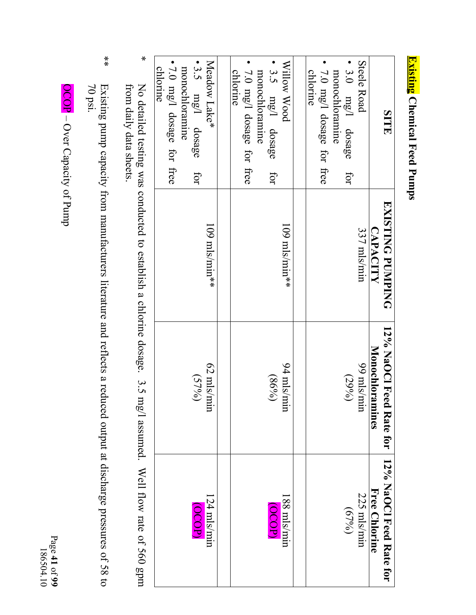| (<br>F<br>$\sim$<br>í<br>d |  |
|----------------------------|--|
| -<br>?<br>?<br>ı           |  |
| 5<br>して                    |  |

| <b>SITE</b>                          | <b>EXISTING PUMPING</b> | 12% NaOCl Feed Rate for   12% NaOCl Feed Rate for |                     |
|--------------------------------------|-------------------------|---------------------------------------------------|---------------------|
|                                      | <b>CAPACITY</b>         | <b>Monochloramines</b>                            | Free Chlorine       |
| <b>Steele Road</b>                   | 337 mls/min             | 99 mls/min                                        | 225 mls/min         |
| $\bullet$ 3.0 mg/l dosage for        |                         | $(29\%)$                                          | (6796)              |
| monochloramine                       |                         |                                                   |                     |
| 7.0 mg/l dosage for free             |                         |                                                   |                     |
| chlorine                             |                         |                                                   |                     |
| Willow Wood                          | $109$ mls/min**         | 94 mls/min                                        | $188 \text{ m/s/m}$ |
| 3.5 mg/l dosage<br>IOI               |                         | (869)                                             | (OCOP)              |
| monochloramine                       |                         |                                                   |                     |
| 7.0 mg/l dosage for free<br>chlorine |                         |                                                   |                     |
|                                      |                         |                                                   |                     |
| Meadow Lake*                         | $109$ mls/min**         | 62 mls/min                                        | $124$ mls/min       |
| $\cdot$ 3.5 $mg/1$ dosage<br>for     |                         | (579)                                             | (OCOP)              |
| monochloramine                       |                         |                                                   |                     |
| $\bullet$ 7.0 mg/l dosage for free   |                         |                                                   |                     |
| chlorine                             |                         |                                                   |                     |

 $\ast$  from daily data sheets. \* No detailed testing was conducted to establish a chlorine dosage. 3.5 mg/l assumed. Well flow rate of 560 gpm from daily data sheets. No detailed testing was conducted to establish a chlorine dosage. 3.5 mg/l assumed. Well flow rate of 560 gpm

 $*$  70 psi. \*\* Existing pump capacity from manufacturers litera Existing pump capacity from manufacturers literature and reflects a reduced output at discharge pressures of 58 to<br>70 psi. ture and reflects a reduced output at discharge pressures of 58 to

 OCOP – Over Capacity of Pump OCOP - Over Capacity of Pump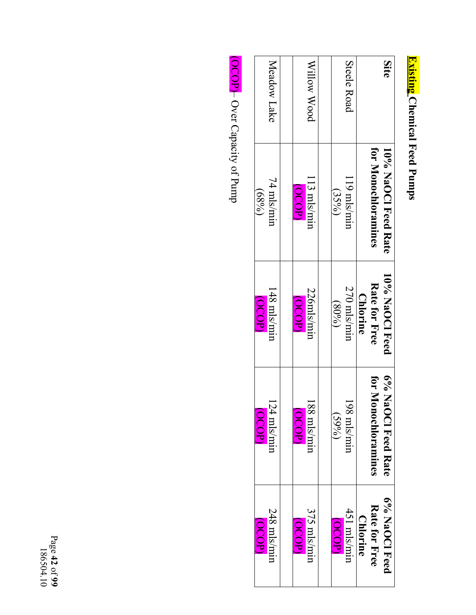<mark>Existing</mark> Chemical Feed Pumps **Existing Chemical Feed Pumps** 

| (dOOO)          | (OCOP)                                          | (QCOP)          | (689)               |             |
|-----------------|-------------------------------------------------|-----------------|---------------------|-------------|
| 248 mls/min     | $124$ mls/min                                   | 148 mls/min     | 74 mls/min          | Meadow Lake |
| <b>OCOPI</b>    | $\overline{\text{O}}\text{O} \text{D}$          | (OCOP)          | <b>OCOP)</b>        |             |
| $375$ mls/mir   | 188 mls/min                                     | 226mls/mir      | 113 mls/min         | Millow Wood |
|                 |                                                 |                 |                     |             |
| (OCOP)          | (5906)                                          | (8008)          | (35%)               |             |
| 451 mls/mir     | 198 mls/mir                                     | 270 mls/min     | 119 mls/mir         | Steele Road |
| <b>Chlorine</b> |                                                 | <b>Chlorine</b> |                     |             |
| Rate for Free   | for M<br><u>lonochloramines</u>                 | Rate for Free   | for Monochloramines |             |
| 6% NaOCI Feed   | $\sqrt{9/9}$<br>$\lambda$ a $\rm OCI$ Feed Rate | 10% NaOCI Feed  | 10% NaOCl Feed Rate | Site        |

OCOP - Over Capacity of Pump (OCOP)– Over Capacity of Pump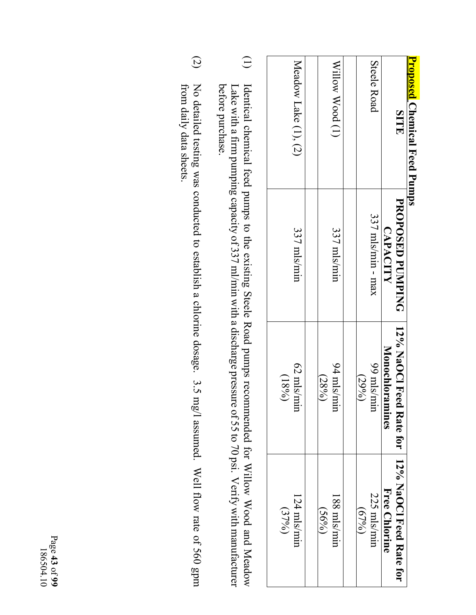| <b>Proposed Chemical Feed Pumps</b> |                     |                                                   |               |
|-------------------------------------|---------------------|---------------------------------------------------|---------------|
| <b>SITE</b>                         | PROPOSED PUNIPING   | 12% NaOCl Feed Rate tor   12% NaOCl Feed Rate for |               |
|                                     | <b>CAPACITY</b>     | <b>Monochloramines</b>                            | Free Chlorine |
| Steele Road                         | $337$ mls/min - max | mis/am 66                                         | 225 mls/mir   |
|                                     |                     | $(29\%)$                                          | (679)         |
| Willow Wood (1)                     | 337 mls/min         | $94$ mls/m                                        | 188 mls/mir   |
|                                     |                     | $(28\%)$                                          | (569)         |
|                                     |                     |                                                   |               |
| Meadow Lake (1), (2)                | 337 mls/min         | 62 mls/m                                          | 124 mls/min   |
|                                     |                     | (9681)                                            | (37%)         |
|                                     |                     |                                                   |               |

- $\bigoplus$ (1) Identical chemical feed pumps to the existing Steele Road pumps recommended for Willow Wood and Meadow before purchase. Identical chemical feed pumps to the existing Steele Road pumps recommended for Willow Wood and Meadow Lake with a firm pumping capacity of 337 ml/min with a discharge pressure of 55 to 70 psi. Verify with manufacturer before purchase. Lake with a firm pumping capacity of 337 ml/min with a discharge pressure of 55 to 70 psi. Verify with manufacturer
- $\widetilde{a}$ (2) No detailed testing was conducted to establish a chlorine dosage. 3.5 mg/l assumed. Well flow rate of 560 gpm from daily data sheets. No detailed testing was conducted to establish a chlorine dosage. 3.5 mg/l assumed. Well flow rate of 560 gpm from daily data sheets.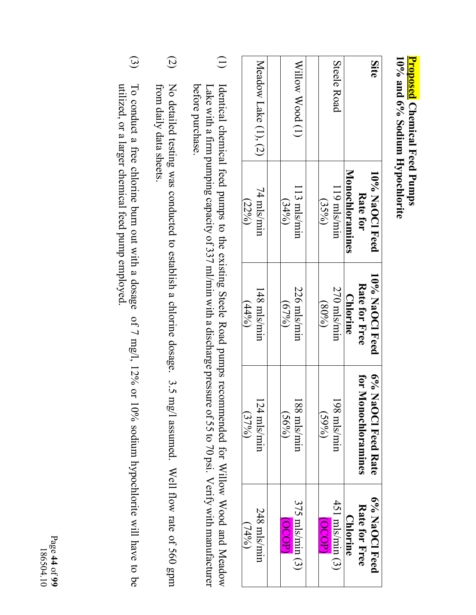10% and 6% Sodium Hypochlorite **10% and 6% Sodium Hypochlorite**  <mark>Proposed</mark> Chemical Feed Pumps **Proposed Chemical Feed Pumps** 

| Site                 | 10% NaOCI Feed<br>Rate for | 10% NaOCI Feed<br>Rate for Free | 6% NaOCl Feed Rate<br>for M<br>lonochloramines | 6% NaOCl Feed<br>Rate for Free |
|----------------------|----------------------------|---------------------------------|------------------------------------------------|--------------------------------|
|                      | <b>Monochloramines</b>     | <b>Chlorine</b>                 |                                                | <b>Chlorine</b>                |
| Steele Road          | 119 mls/mir                | 270 mls/mir                     | 198 mls/mir                                    | $451$ mls/min $(3)$            |
|                      | (35%)                      | (800)()                         | (5996)                                         | (OCOP)                         |
|                      |                            |                                 |                                                |                                |
| Willow Wood (1)      | 113 mls/mir                | 226 mls/min                     | 188 mls/mir                                    | $375$ mls/min $(3)$            |
|                      | (3406)                     | (679)                           | $(56\%)$                                       | (OCO)                          |
|                      |                            |                                 |                                                |                                |
| Meadow Lake (1), (2) | 74 mls/mir                 | 148 mls/min                     | $124$ mls/mir                                  | 248 mls/min                    |
|                      | (22%)                      | (44%)                           | (3796)                                         | (7496)                         |

- $\bigoplus$ (1) Identical chemical feed pumps to the existing Steele Road pumps recommended for Willow Wood and Meadow before purchase. before purchase. Identical chemical feed pumps to the existing Steele Road pumps recommended for Willow Wood and Meadow Lake with a firm pumping capacity of 337 ml/min with a discharge pressure of 55 to 70 psi. Verify with manufacturer Lake with a firm pumping capacity of  $337$  ml/min with a discharge pressure of  $55$  to  $70$  psi. Verify with manufacturer
- $\odot$ (2) No detailed testing was conducted to establish a chlorine dosage. 3.5 mg/l assumed. Well flow rate of 560 gpm No detailed testing was conducted to establish a chlorine dosage. 3.5 mg/l assumed. Well flow rate of 560 gpm from daily data sheets from daily data sheets.
- $\odot$ (3) To conduct a free chlorine burn out with a dosage of 7 mg/l, 12% or 10% sodium hypochlorite will have to be To conduct a free chlorine burn out with a dosage of 7 mg/l, 12% or 10% sodium hypochlorite will have to be utilized, or a larger chemical feed pump employed. utilized, or a larger chemical feed pump employed.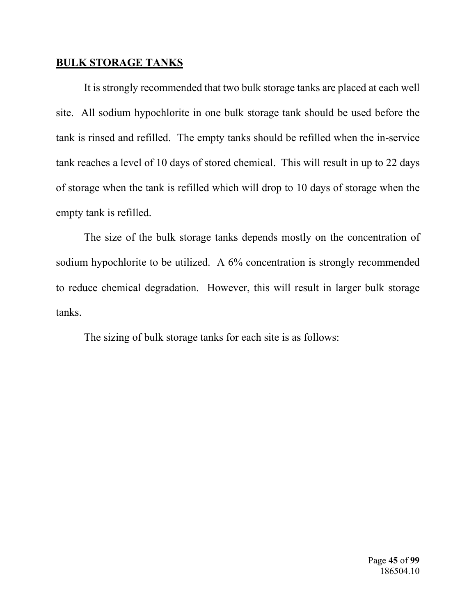# **BULK STORAGE TANKS**

It is strongly recommended that two bulk storage tanks are placed at each well site. All sodium hypochlorite in one bulk storage tank should be used before the tank is rinsed and refilled. The empty tanks should be refilled when the in-service tank reaches a level of 10 days of stored chemical. This will result in up to 22 days of storage when the tank is refilled which will drop to 10 days of storage when the empty tank is refilled.

 The size of the bulk storage tanks depends mostly on the concentration of sodium hypochlorite to be utilized. A 6% concentration is strongly recommended to reduce chemical degradation. However, this will result in larger bulk storage tanks.

The sizing of bulk storage tanks for each site is as follows: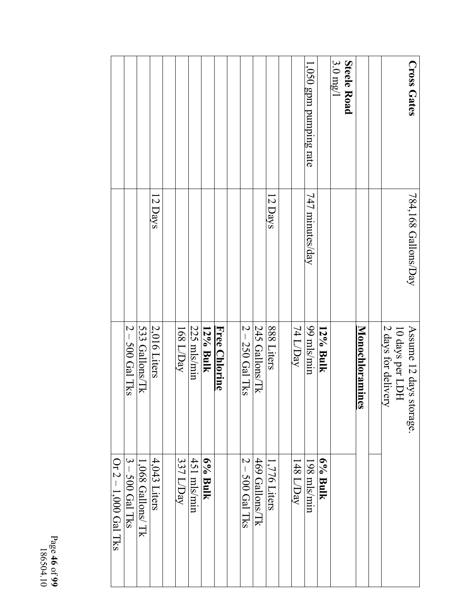|                        |                   |                   |                |           |               |          |               |                   |                |              |                          | 1,050 gpm pumping rate |          | $3.0 \text{ mg}/1$ | <b>Steele Road</b> |                 |                                        | <b>Cross Gates</b>          |
|------------------------|-------------------|-------------------|----------------|-----------|---------------|----------|---------------|-------------------|----------------|--------------|--------------------------|------------------------|----------|--------------------|--------------------|-----------------|----------------------------------------|-----------------------------|
|                        |                   |                   | 12 Days        |           |               |          |               |                   |                | 12 Days      |                          | 747 minutes/day        |          |                    |                    |                 |                                        | $784,168$ Gallons/Day       |
|                        | $2 - 500$ Gal Tks | 533 Gallons/Tk    | 2,016 Liters   | 168 L/Day | $225$ mls/min | 12% Bulk | Free Chlorine | $2 - 250$ Gal Tks | 245 Gallons/Tk | 888 Liters   | 74 L/Day                 | 99 mls/min             | 12% Bulk |                    |                    | Monochloramines | 2 days for delivery<br>10 days per LDH | Assume 12 days st<br>orage. |
| Or $2 - 1,000$ Gal Tks | $3 - 500$ Gal Tks | 1,068 Gallons/ Tk | $4,043$ Liters | 337 L/Day | 451 mls/min   | 6% Bulk  |               | $2 - 500$ Gal Tks | 469 Gallons/Tk | 1,776 Liters | $148$ $\overline{10}$ ay | 198 mls/min            | 6% Bulk  |                    |                    |                 |                                        |                             |

Page **46** of **99**  186504.10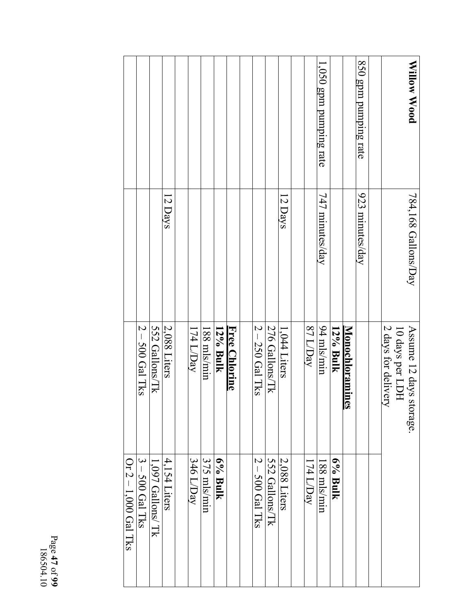|                    |                   |                   |                |           |               |          |                      |                   |                |                |           | 1,050 gpm pumping rate |          |                        | 850 gpm pumping rate |                     |                 | Willow Wood                 |
|--------------------|-------------------|-------------------|----------------|-----------|---------------|----------|----------------------|-------------------|----------------|----------------|-----------|------------------------|----------|------------------------|----------------------|---------------------|-----------------|-----------------------------|
|                    |                   |                   | 12 Days        |           |               |          |                      |                   |                | 12 Days        |           | 747 minutes/day        |          |                        | 923 minutes/day      |                     |                 | $784,168$ Gallons/Day       |
|                    | $2 - 500$ Gal Tks | 552 Gallons/Tk    | 2,088 Liters   | 174 L/Day | $188$ mls/min | 12% Bulk | <b>Free Chlorine</b> | $2 - 250$ Gal Tks | 276 Gallons/Tk | 1,044 Liters   | 87 L/Day  | 94 mls/min             | 12% Bulk | <b>Monochloramines</b> |                      | 2 days for delivery | 10 days per LDH | Assume 12 days s<br>torage. |
| Or 2-1,000 Gal Tks | $3 - 500$ Gal Tks | 1,097 Gallons/ Tk | $4,154$ Liters | 346 L/Day | 375 mls/min   | 6% Bulk  |                      | $2 - 500$ Gal Tks | 552 Gallons/Tk | $2.088$ Liters | 174 L/Day | 188 mls/min            | 6% Bulk  |                        |                      |                     |                 |                             |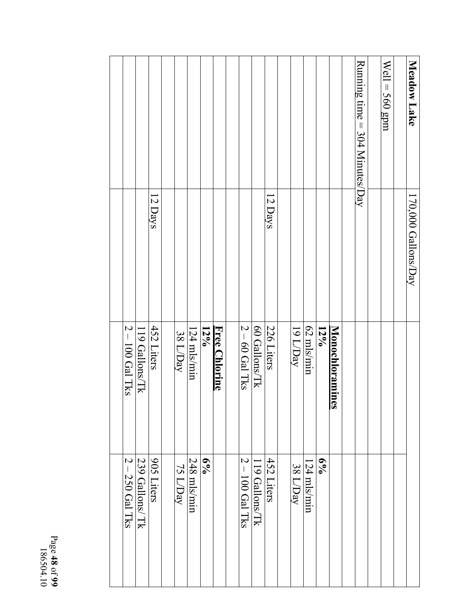| Meadow Lake                    | 170,000 Gallons/Day |                        |                   |
|--------------------------------|---------------------|------------------------|-------------------|
|                                |                     |                        |                   |
| $Well = 560$ gpm               |                     |                        |                   |
|                                |                     |                        |                   |
| Running time = 304 Minutes/Day |                     |                        |                   |
|                                |                     |                        |                   |
|                                |                     | <b>Monochloramines</b> |                   |
|                                |                     | $12\%$                 | $6\%$             |
|                                |                     | 62 mls/min             | $124$ mls/min     |
|                                |                     | 19 L/Day               | 38 L/Day          |
|                                |                     |                        |                   |
|                                | 12 Days             | 226 Liters             | 452 Liters        |
|                                |                     | 60 Gallons/Tk          | 119 Gallons/Tk    |
|                                |                     | $2 - 60$ Gal Tks       | $2 - 100$ Gal Tks |
|                                |                     |                        |                   |
|                                |                     | Free Chlorine          |                   |
|                                |                     | $12\%$                 | $6\%$             |
|                                |                     | 124 mls/min            | 248 mls/min       |
|                                |                     | 38 L/Day               | 75 L/Day          |
|                                |                     |                        |                   |
|                                | 12 Days             | 452 Liters             | 905 Liters        |
|                                |                     | 119 Gallons/Tk         | 239 Gallons/ Tk   |
|                                |                     | $2 - 100$ Gal Tks      | $2 - 250$ Gal Tks |
|                                |                     |                        |                   |
|                                |                     |                        |                   |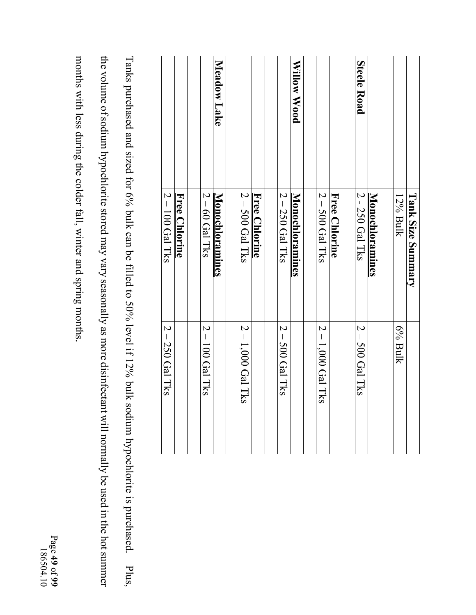|                    | <b>Tank Size Summary</b> |                     |
|--------------------|--------------------------|---------------------|
|                    | 12% Bulk                 | 6% Bulk             |
|                    |                          |                     |
|                    | <b>Monochloramines</b>   |                     |
| <b>Steele Road</b> | 2 - 250 Gal Tks          | $2 - 500$ Gal Tks   |
|                    |                          |                     |
|                    | Free Chlorine            |                     |
|                    | $2 - 500$ Gal Tks        | $2 - 1,000$ Gal Tks |
|                    |                          |                     |
| Willow Wood        | <b>Monochloramines</b>   |                     |
|                    | $2 - 250$ Gal Tks        | $2 - 500$ Gal Tks   |
|                    |                          |                     |
|                    | <b>Free Chlorine</b>     |                     |
|                    | $2 - 500$ Gal Tks        | $2 - 1,000$ Gal Tks |
|                    |                          |                     |
| Meadow Lake        | <b>Monochloramines</b>   |                     |
|                    | $2 - 60$ Gal Tks         | $2 - 100$ Gal Tks   |
|                    |                          |                     |
|                    | <b>Free Chlorine</b>     |                     |
|                    | $2 - 100$ Gal Tks        | $2 - 250$ Gal Tks   |
|                    |                          |                     |

the volume of sodium hypochlorite stored may vary seasonally as more disinfectant will normally be used in the hot summer Tanks purchased and sized for 6% bulk can be filled to 50% level if 12% bulk sodium hypochlorite is purchased. Plus, the volume of sodium hypochlorite stored may vary seasonally as more disinfectant will normally be used in the hot summer Tanks purchased and sized for 6% bulk can be filled to 50% level if 12% bulk sodium hypochlorite is purchased. Plus,

months with less during the colder fall, winter and spring months. months with less during the colder fall, winter and spring months.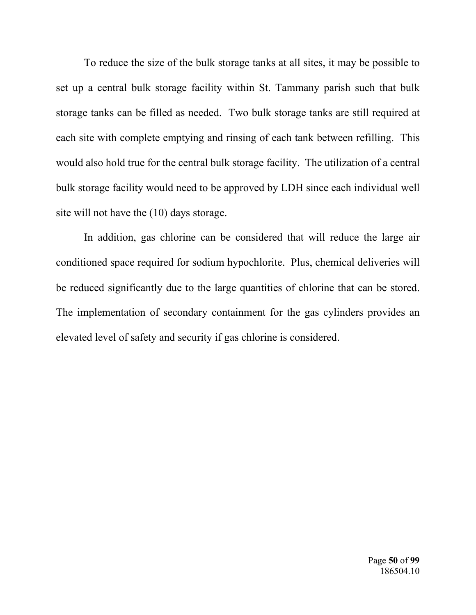To reduce the size of the bulk storage tanks at all sites, it may be possible to set up a central bulk storage facility within St. Tammany parish such that bulk storage tanks can be filled as needed. Two bulk storage tanks are still required at each site with complete emptying and rinsing of each tank between refilling. This would also hold true for the central bulk storage facility. The utilization of a central bulk storage facility would need to be approved by LDH since each individual well site will not have the (10) days storage.

 In addition, gas chlorine can be considered that will reduce the large air conditioned space required for sodium hypochlorite. Plus, chemical deliveries will be reduced significantly due to the large quantities of chlorine that can be stored. The implementation of secondary containment for the gas cylinders provides an elevated level of safety and security if gas chlorine is considered.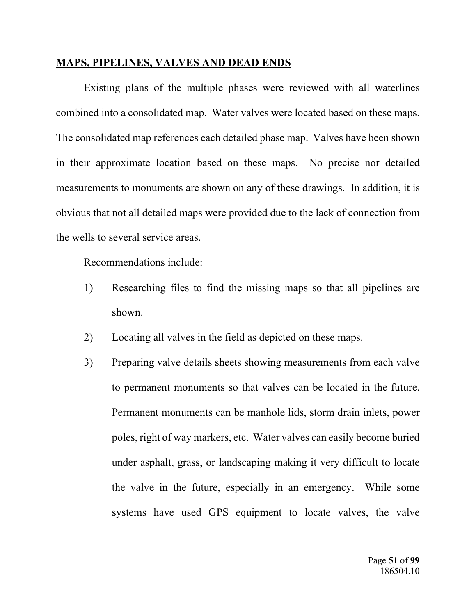# **MAPS, PIPELINES, VALVES AND DEAD ENDS**

Existing plans of the multiple phases were reviewed with all waterlines combined into a consolidated map. Water valves were located based on these maps. The consolidated map references each detailed phase map. Valves have been shown in their approximate location based on these maps. No precise nor detailed measurements to monuments are shown on any of these drawings. In addition, it is obvious that not all detailed maps were provided due to the lack of connection from the wells to several service areas.

Recommendations include:

- 1) Researching files to find the missing maps so that all pipelines are shown.
- 2) Locating all valves in the field as depicted on these maps.
- 3) Preparing valve details sheets showing measurements from each valve to permanent monuments so that valves can be located in the future. Permanent monuments can be manhole lids, storm drain inlets, power poles, right of way markers, etc. Water valves can easily become buried under asphalt, grass, or landscaping making it very difficult to locate the valve in the future, especially in an emergency. While some systems have used GPS equipment to locate valves, the valve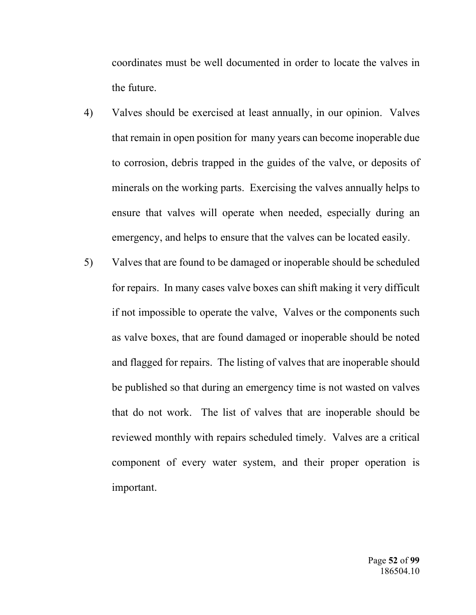coordinates must be well documented in order to locate the valves in the future.

- 4) Valves should be exercised at least annually, in our opinion. Valves that remain in open position for many years can become inoperable due to corrosion, debris trapped in the guides of the valve, or deposits of minerals on the working parts. Exercising the valves annually helps to ensure that valves will operate when needed, especially during an emergency, and helps to ensure that the valves can be located easily.
- 5) Valves that are found to be damaged or inoperable should be scheduled for repairs. In many cases valve boxes can shift making it very difficult if not impossible to operate the valve, Valves or the components such as valve boxes, that are found damaged or inoperable should be noted and flagged for repairs. The listing of valves that are inoperable should be published so that during an emergency time is not wasted on valves that do not work. The list of valves that are inoperable should be reviewed monthly with repairs scheduled timely. Valves are a critical component of every water system, and their proper operation is important.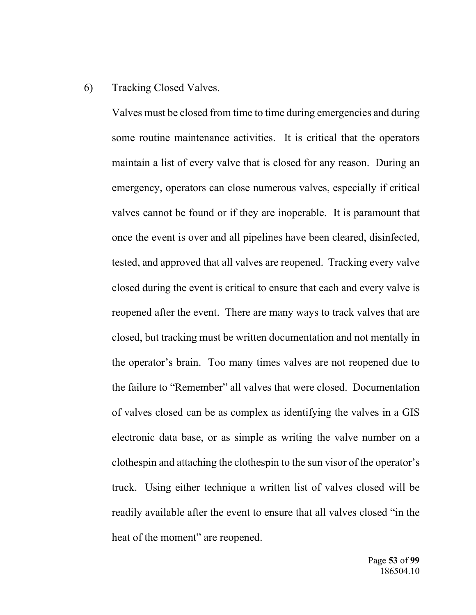# 6) Tracking Closed Valves.

 Valves must be closed from time to time during emergencies and during some routine maintenance activities. It is critical that the operators maintain a list of every valve that is closed for any reason. During an emergency, operators can close numerous valves, especially if critical valves cannot be found or if they are inoperable. It is paramount that once the event is over and all pipelines have been cleared, disinfected, tested, and approved that all valves are reopened. Tracking every valve closed during the event is critical to ensure that each and every valve is reopened after the event. There are many ways to track valves that are closed, but tracking must be written documentation and not mentally in the operator's brain. Too many times valves are not reopened due to the failure to "Remember" all valves that were closed. Documentation of valves closed can be as complex as identifying the valves in a GIS electronic data base, or as simple as writing the valve number on a clothespin and attaching the clothespin to the sun visor of the operator's truck. Using either technique a written list of valves closed will be readily available after the event to ensure that all valves closed "in the heat of the moment" are reopened.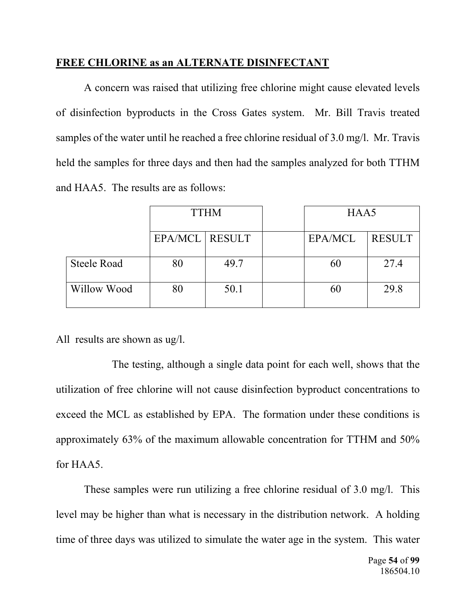# **FREE CHLORINE as an ALTERNATE DISINFECTANT**

A concern was raised that utilizing free chlorine might cause elevated levels of disinfection byproducts in the Cross Gates system. Mr. Bill Travis treated samples of the water until he reached a free chlorine residual of 3.0 mg/l. Mr. Travis held the samples for three days and then had the samples analyzed for both TTHM and HAA5. The results are as follows:

|                    |                  | <b>TTHM</b> | HAA5           |               |  |  |  |  |
|--------------------|------------------|-------------|----------------|---------------|--|--|--|--|
|                    | EPA/MCL   RESULT |             | <b>EPA/MCL</b> | <b>RESULT</b> |  |  |  |  |
| <b>Steele Road</b> | 80               | 49.7        | 60             | 27.4          |  |  |  |  |
| Willow Wood        | 80               | 50.1        | 60             | 29.8          |  |  |  |  |

All results are shown as ug/l.

 The testing, although a single data point for each well, shows that the utilization of free chlorine will not cause disinfection byproduct concentrations to exceed the MCL as established by EPA. The formation under these conditions is approximately 63% of the maximum allowable concentration for TTHM and 50% for HAA5.

These samples were run utilizing a free chlorine residual of 3.0 mg/l. This level may be higher than what is necessary in the distribution network. A holding time of three days was utilized to simulate the water age in the system. This water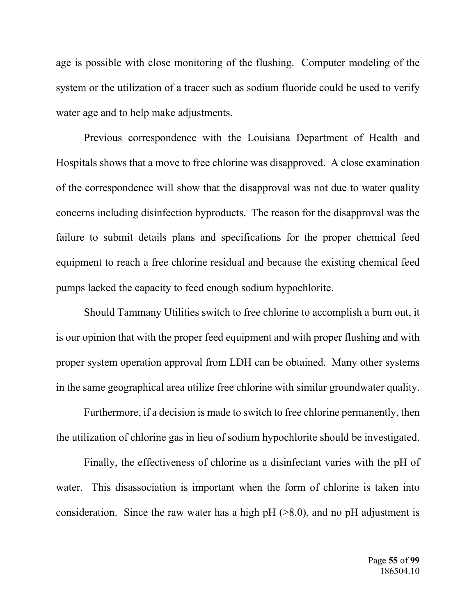age is possible with close monitoring of the flushing. Computer modeling of the system or the utilization of a tracer such as sodium fluoride could be used to verify water age and to help make adjustments.

Previous correspondence with the Louisiana Department of Health and Hospitals shows that a move to free chlorine was disapproved. A close examination of the correspondence will show that the disapproval was not due to water quality concerns including disinfection byproducts. The reason for the disapproval was the failure to submit details plans and specifications for the proper chemical feed equipment to reach a free chlorine residual and because the existing chemical feed pumps lacked the capacity to feed enough sodium hypochlorite.

Should Tammany Utilities switch to free chlorine to accomplish a burn out, it is our opinion that with the proper feed equipment and with proper flushing and with proper system operation approval from LDH can be obtained. Many other systems in the same geographical area utilize free chlorine with similar groundwater quality.

Furthermore, if a decision is made to switch to free chlorine permanently, then the utilization of chlorine gas in lieu of sodium hypochlorite should be investigated.

Finally, the effectiveness of chlorine as a disinfectant varies with the pH of water. This disassociation is important when the form of chlorine is taken into consideration. Since the raw water has a high pH  $(>8.0)$ , and no pH adjustment is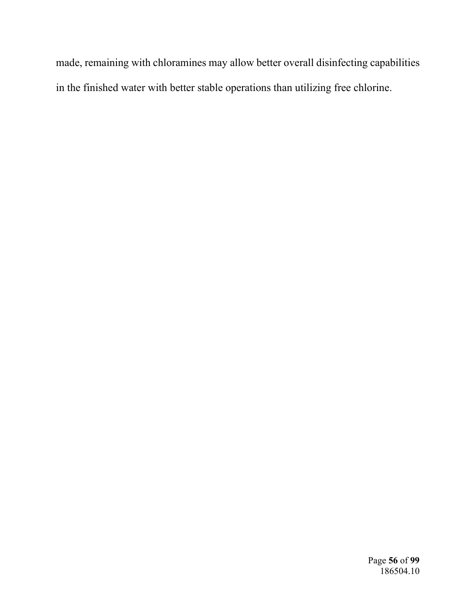made, remaining with chloramines may allow better overall disinfecting capabilities in the finished water with better stable operations than utilizing free chlorine.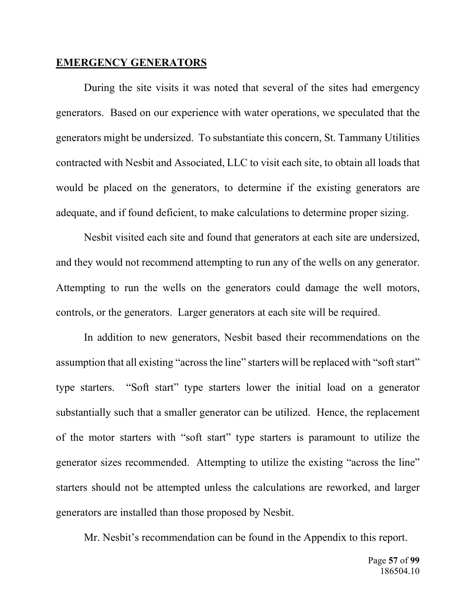### **EMERGENCY GENERATORS**

During the site visits it was noted that several of the sites had emergency generators. Based on our experience with water operations, we speculated that the generators might be undersized. To substantiate this concern, St. Tammany Utilities contracted with Nesbit and Associated, LLC to visit each site, to obtain all loads that would be placed on the generators, to determine if the existing generators are adequate, and if found deficient, to make calculations to determine proper sizing.

Nesbit visited each site and found that generators at each site are undersized, and they would not recommend attempting to run any of the wells on any generator. Attempting to run the wells on the generators could damage the well motors, controls, or the generators. Larger generators at each site will be required.

In addition to new generators, Nesbit based their recommendations on the assumption that all existing "across the line" starters will be replaced with "soft start" type starters. "Soft start" type starters lower the initial load on a generator substantially such that a smaller generator can be utilized. Hence, the replacement of the motor starters with "soft start" type starters is paramount to utilize the generator sizes recommended. Attempting to utilize the existing "across the line" starters should not be attempted unless the calculations are reworked, and larger generators are installed than those proposed by Nesbit.

Mr. Nesbit's recommendation can be found in the Appendix to this report.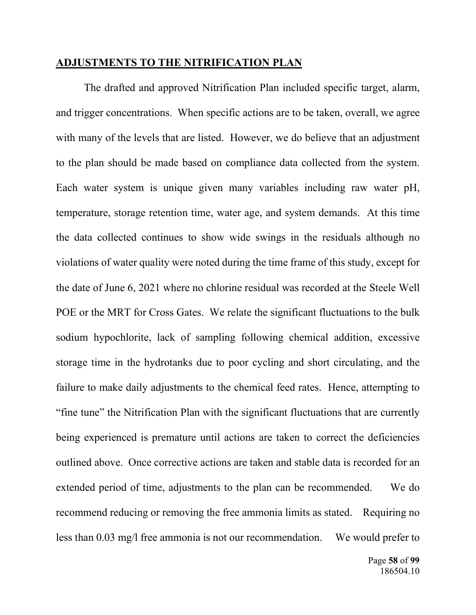### **ADJUSTMENTS TO THE NITRIFICATION PLAN**

The drafted and approved Nitrification Plan included specific target, alarm, and trigger concentrations. When specific actions are to be taken, overall, we agree with many of the levels that are listed. However, we do believe that an adjustment to the plan should be made based on compliance data collected from the system. Each water system is unique given many variables including raw water pH, temperature, storage retention time, water age, and system demands. At this time the data collected continues to show wide swings in the residuals although no violations of water quality were noted during the time frame of this study, except for the date of June 6, 2021 where no chlorine residual was recorded at the Steele Well POE or the MRT for Cross Gates. We relate the significant fluctuations to the bulk sodium hypochlorite, lack of sampling following chemical addition, excessive storage time in the hydrotanks due to poor cycling and short circulating, and the failure to make daily adjustments to the chemical feed rates. Hence, attempting to "fine tune" the Nitrification Plan with the significant fluctuations that are currently being experienced is premature until actions are taken to correct the deficiencies outlined above. Once corrective actions are taken and stable data is recorded for an extended period of time, adjustments to the plan can be recommended. We do recommend reducing or removing the free ammonia limits as stated. Requiring no less than 0.03 mg/l free ammonia is not our recommendation. We would prefer to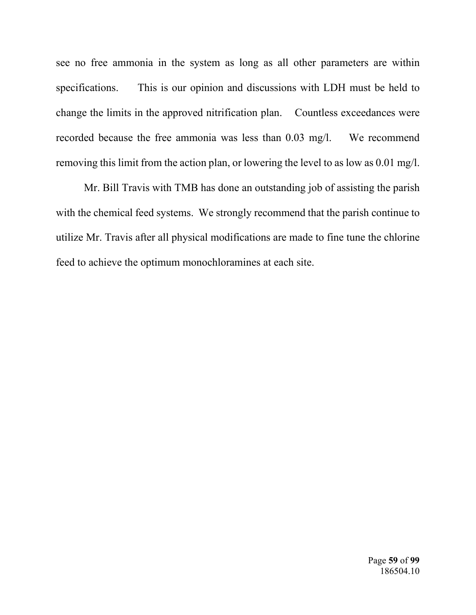see no free ammonia in the system as long as all other parameters are within specifications. This is our opinion and discussions with LDH must be held to change the limits in the approved nitrification plan. Countless exceedances were recorded because the free ammonia was less than 0.03 mg/l. We recommend removing this limit from the action plan, or lowering the level to as low as 0.01 mg/l.

Mr. Bill Travis with TMB has done an outstanding job of assisting the parish with the chemical feed systems. We strongly recommend that the parish continue to utilize Mr. Travis after all physical modifications are made to fine tune the chlorine feed to achieve the optimum monochloramines at each site.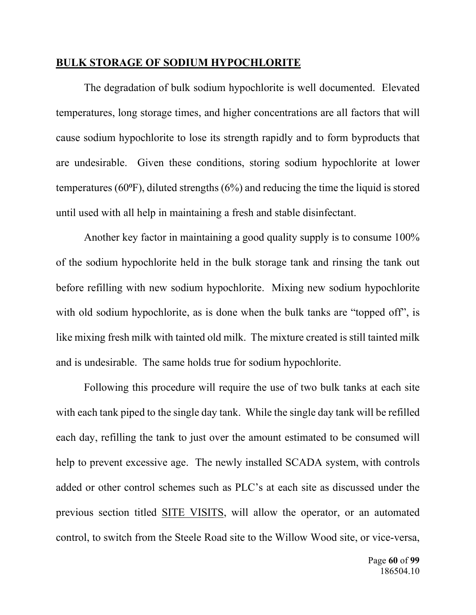# **BULK STORAGE OF SODIUM HYPOCHLORITE**

The degradation of bulk sodium hypochlorite is well documented. Elevated temperatures, long storage times, and higher concentrations are all factors that will cause sodium hypochlorite to lose its strength rapidly and to form byproducts that are undesirable. Given these conditions, storing sodium hypochlorite at lower temperatures (60 $\textdegree$ F), diluted strengths (6%) and reducing the time the liquid is stored until used with all help in maintaining a fresh and stable disinfectant.

Another key factor in maintaining a good quality supply is to consume 100% of the sodium hypochlorite held in the bulk storage tank and rinsing the tank out before refilling with new sodium hypochlorite. Mixing new sodium hypochlorite with old sodium hypochlorite, as is done when the bulk tanks are "topped off", is like mixing fresh milk with tainted old milk. The mixture created is still tainted milk and is undesirable. The same holds true for sodium hypochlorite.

Following this procedure will require the use of two bulk tanks at each site with each tank piped to the single day tank. While the single day tank will be refilled each day, refilling the tank to just over the amount estimated to be consumed will help to prevent excessive age. The newly installed SCADA system, with controls added or other control schemes such as PLC's at each site as discussed under the previous section titled SITE VISITS, will allow the operator, or an automated control, to switch from the Steele Road site to the Willow Wood site, or vice-versa,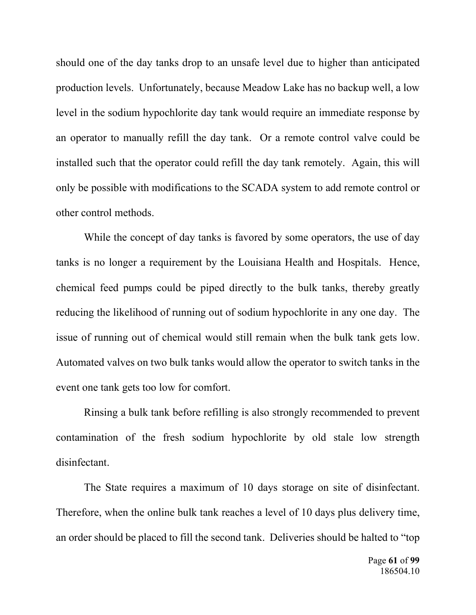should one of the day tanks drop to an unsafe level due to higher than anticipated production levels. Unfortunately, because Meadow Lake has no backup well, a low level in the sodium hypochlorite day tank would require an immediate response by an operator to manually refill the day tank. Or a remote control valve could be installed such that the operator could refill the day tank remotely. Again, this will only be possible with modifications to the SCADA system to add remote control or other control methods.

While the concept of day tanks is favored by some operators, the use of day tanks is no longer a requirement by the Louisiana Health and Hospitals. Hence, chemical feed pumps could be piped directly to the bulk tanks, thereby greatly reducing the likelihood of running out of sodium hypochlorite in any one day. The issue of running out of chemical would still remain when the bulk tank gets low. Automated valves on two bulk tanks would allow the operator to switch tanks in the event one tank gets too low for comfort.

Rinsing a bulk tank before refilling is also strongly recommended to prevent contamination of the fresh sodium hypochlorite by old stale low strength disinfectant.

The State requires a maximum of 10 days storage on site of disinfectant. Therefore, when the online bulk tank reaches a level of 10 days plus delivery time, an order should be placed to fill the second tank. Deliveries should be halted to "top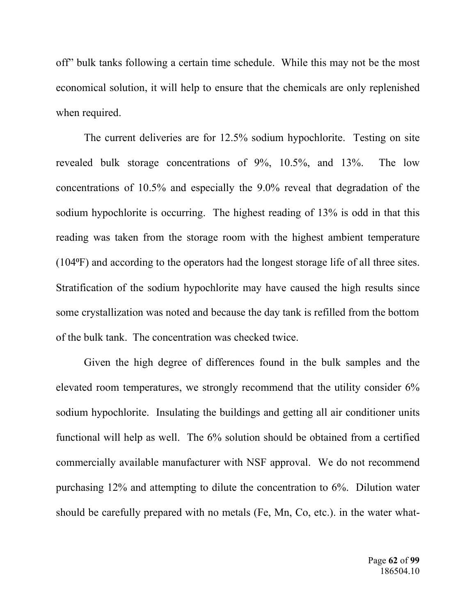off" bulk tanks following a certain time schedule. While this may not be the most economical solution, it will help to ensure that the chemicals are only replenished when required.

The current deliveries are for 12.5% sodium hypochlorite. Testing on site revealed bulk storage concentrations of 9%, 10.5%, and 13%. The low concentrations of 10.5% and especially the 9.0% reveal that degradation of the sodium hypochlorite is occurring. The highest reading of 13% is odd in that this reading was taken from the storage room with the highest ambient temperature (104⁰F) and according to the operators had the longest storage life of all three sites. Stratification of the sodium hypochlorite may have caused the high results since some crystallization was noted and because the day tank is refilled from the bottom of the bulk tank. The concentration was checked twice.

Given the high degree of differences found in the bulk samples and the elevated room temperatures, we strongly recommend that the utility consider 6% sodium hypochlorite. Insulating the buildings and getting all air conditioner units functional will help as well. The 6% solution should be obtained from a certified commercially available manufacturer with NSF approval. We do not recommend purchasing 12% and attempting to dilute the concentration to 6%. Dilution water should be carefully prepared with no metals (Fe, Mn, Co, etc.). in the water what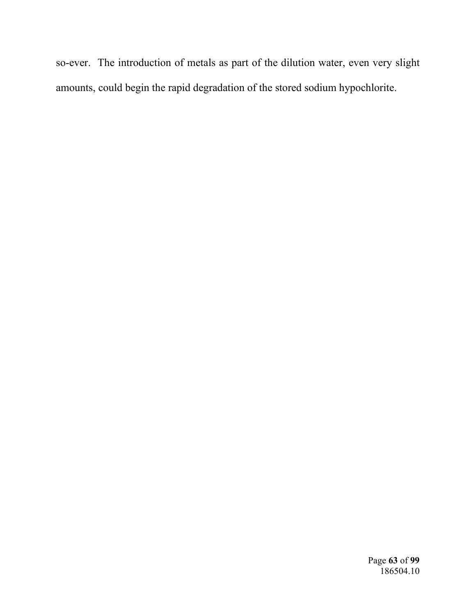so-ever. The introduction of metals as part of the dilution water, even very slight amounts, could begin the rapid degradation of the stored sodium hypochlorite.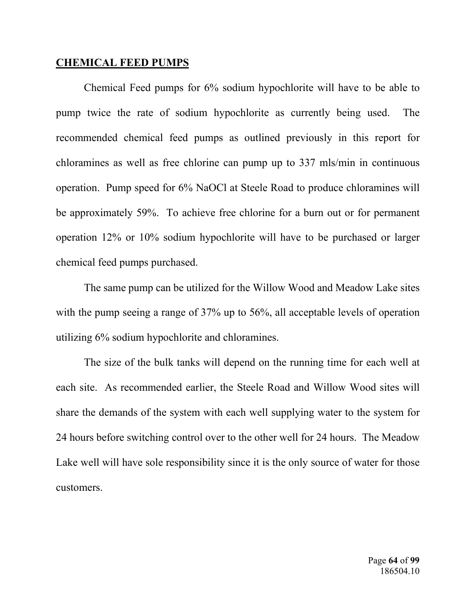## **CHEMICAL FEED PUMPS**

Chemical Feed pumps for 6% sodium hypochlorite will have to be able to pump twice the rate of sodium hypochlorite as currently being used. The recommended chemical feed pumps as outlined previously in this report for chloramines as well as free chlorine can pump up to 337 mls/min in continuous operation. Pump speed for 6% NaOCl at Steele Road to produce chloramines will be approximately 59%. To achieve free chlorine for a burn out or for permanent operation 12% or 10% sodium hypochlorite will have to be purchased or larger chemical feed pumps purchased.

The same pump can be utilized for the Willow Wood and Meadow Lake sites with the pump seeing a range of 37% up to 56%, all acceptable levels of operation utilizing 6% sodium hypochlorite and chloramines.

The size of the bulk tanks will depend on the running time for each well at each site. As recommended earlier, the Steele Road and Willow Wood sites will share the demands of the system with each well supplying water to the system for 24 hours before switching control over to the other well for 24 hours. The Meadow Lake well will have sole responsibility since it is the only source of water for those customers.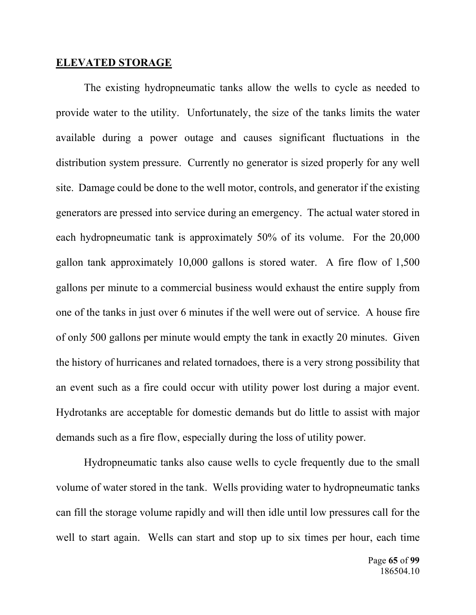#### **ELEVATED STORAGE**

The existing hydropneumatic tanks allow the wells to cycle as needed to provide water to the utility. Unfortunately, the size of the tanks limits the water available during a power outage and causes significant fluctuations in the distribution system pressure. Currently no generator is sized properly for any well site. Damage could be done to the well motor, controls, and generator if the existing generators are pressed into service during an emergency. The actual water stored in each hydropneumatic tank is approximately 50% of its volume. For the 20,000 gallon tank approximately 10,000 gallons is stored water. A fire flow of 1,500 gallons per minute to a commercial business would exhaust the entire supply from one of the tanks in just over 6 minutes if the well were out of service. A house fire of only 500 gallons per minute would empty the tank in exactly 20 minutes. Given the history of hurricanes and related tornadoes, there is a very strong possibility that an event such as a fire could occur with utility power lost during a major event. Hydrotanks are acceptable for domestic demands but do little to assist with major demands such as a fire flow, especially during the loss of utility power.

Hydropneumatic tanks also cause wells to cycle frequently due to the small volume of water stored in the tank. Wells providing water to hydropneumatic tanks can fill the storage volume rapidly and will then idle until low pressures call for the well to start again. Wells can start and stop up to six times per hour, each time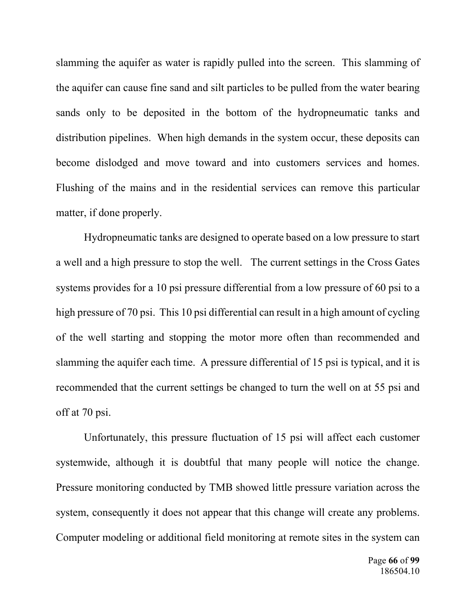slamming the aquifer as water is rapidly pulled into the screen. This slamming of the aquifer can cause fine sand and silt particles to be pulled from the water bearing sands only to be deposited in the bottom of the hydropneumatic tanks and distribution pipelines. When high demands in the system occur, these deposits can become dislodged and move toward and into customers services and homes. Flushing of the mains and in the residential services can remove this particular matter, if done properly.

Hydropneumatic tanks are designed to operate based on a low pressure to start a well and a high pressure to stop the well. The current settings in the Cross Gates systems provides for a 10 psi pressure differential from a low pressure of 60 psi to a high pressure of 70 psi. This 10 psi differential can result in a high amount of cycling of the well starting and stopping the motor more often than recommended and slamming the aquifer each time. A pressure differential of 15 psi is typical, and it is recommended that the current settings be changed to turn the well on at 55 psi and off at 70 psi.

Unfortunately, this pressure fluctuation of 15 psi will affect each customer systemwide, although it is doubtful that many people will notice the change. Pressure monitoring conducted by TMB showed little pressure variation across the system, consequently it does not appear that this change will create any problems. Computer modeling or additional field monitoring at remote sites in the system can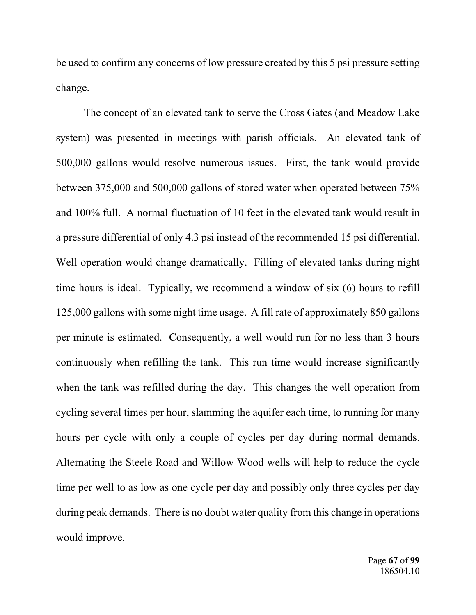be used to confirm any concerns of low pressure created by this 5 psi pressure setting change.

The concept of an elevated tank to serve the Cross Gates (and Meadow Lake system) was presented in meetings with parish officials. An elevated tank of 500,000 gallons would resolve numerous issues. First, the tank would provide between 375,000 and 500,000 gallons of stored water when operated between 75% and 100% full. A normal fluctuation of 10 feet in the elevated tank would result in a pressure differential of only 4.3 psi instead of the recommended 15 psi differential. Well operation would change dramatically. Filling of elevated tanks during night time hours is ideal. Typically, we recommend a window of six (6) hours to refill 125,000 gallons with some night time usage. A fill rate of approximately 850 gallons per minute is estimated. Consequently, a well would run for no less than 3 hours continuously when refilling the tank. This run time would increase significantly when the tank was refilled during the day. This changes the well operation from cycling several times per hour, slamming the aquifer each time, to running for many hours per cycle with only a couple of cycles per day during normal demands. Alternating the Steele Road and Willow Wood wells will help to reduce the cycle time per well to as low as one cycle per day and possibly only three cycles per day during peak demands. There is no doubt water quality from this change in operations would improve.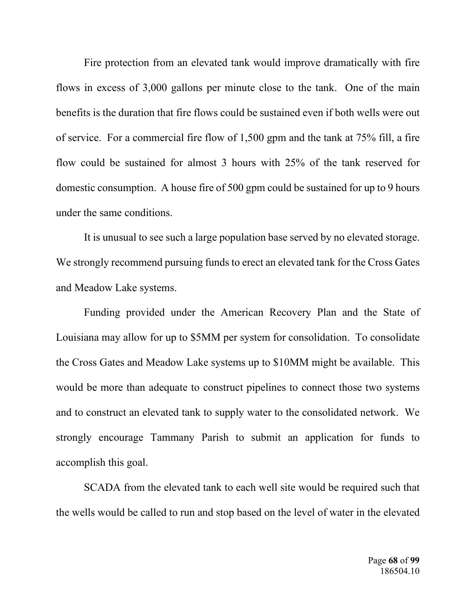Fire protection from an elevated tank would improve dramatically with fire flows in excess of 3,000 gallons per minute close to the tank. One of the main benefits is the duration that fire flows could be sustained even if both wells were out of service. For a commercial fire flow of 1,500 gpm and the tank at 75% fill, a fire flow could be sustained for almost 3 hours with 25% of the tank reserved for domestic consumption. A house fire of 500 gpm could be sustained for up to 9 hours under the same conditions.

It is unusual to see such a large population base served by no elevated storage. We strongly recommend pursuing funds to erect an elevated tank for the Cross Gates and Meadow Lake systems.

Funding provided under the American Recovery Plan and the State of Louisiana may allow for up to \$5MM per system for consolidation. To consolidate the Cross Gates and Meadow Lake systems up to \$10MM might be available. This would be more than adequate to construct pipelines to connect those two systems and to construct an elevated tank to supply water to the consolidated network. We strongly encourage Tammany Parish to submit an application for funds to accomplish this goal.

SCADA from the elevated tank to each well site would be required such that the wells would be called to run and stop based on the level of water in the elevated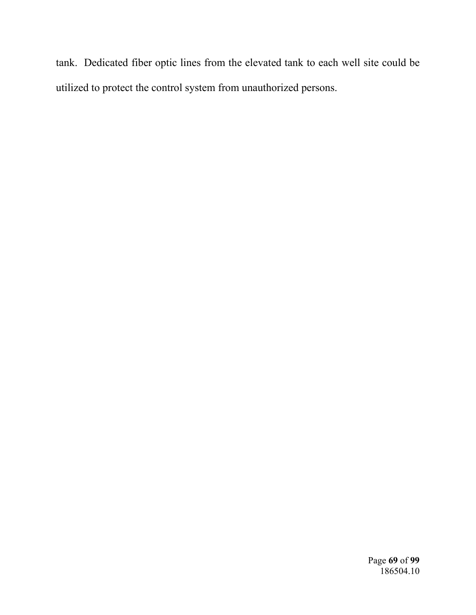tank. Dedicated fiber optic lines from the elevated tank to each well site could be utilized to protect the control system from unauthorized persons.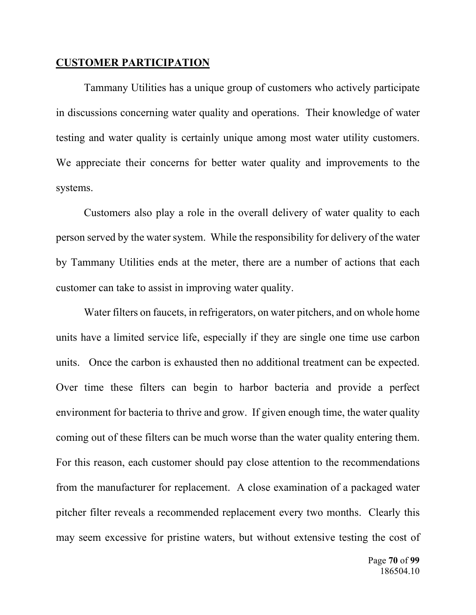### **CUSTOMER PARTICIPATION**

Tammany Utilities has a unique group of customers who actively participate in discussions concerning water quality and operations. Their knowledge of water testing and water quality is certainly unique among most water utility customers. We appreciate their concerns for better water quality and improvements to the systems.

Customers also play a role in the overall delivery of water quality to each person served by the water system. While the responsibility for delivery of the water by Tammany Utilities ends at the meter, there are a number of actions that each customer can take to assist in improving water quality.

Water filters on faucets, in refrigerators, on water pitchers, and on whole home units have a limited service life, especially if they are single one time use carbon units. Once the carbon is exhausted then no additional treatment can be expected. Over time these filters can begin to harbor bacteria and provide a perfect environment for bacteria to thrive and grow. If given enough time, the water quality coming out of these filters can be much worse than the water quality entering them. For this reason, each customer should pay close attention to the recommendations from the manufacturer for replacement. A close examination of a packaged water pitcher filter reveals a recommended replacement every two months. Clearly this may seem excessive for pristine waters, but without extensive testing the cost of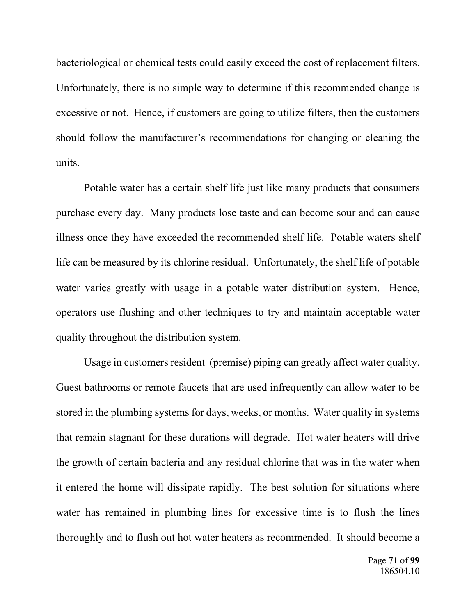bacteriological or chemical tests could easily exceed the cost of replacement filters. Unfortunately, there is no simple way to determine if this recommended change is excessive or not. Hence, if customers are going to utilize filters, then the customers should follow the manufacturer's recommendations for changing or cleaning the units.

Potable water has a certain shelf life just like many products that consumers purchase every day. Many products lose taste and can become sour and can cause illness once they have exceeded the recommended shelf life. Potable waters shelf life can be measured by its chlorine residual. Unfortunately, the shelf life of potable water varies greatly with usage in a potable water distribution system. Hence, operators use flushing and other techniques to try and maintain acceptable water quality throughout the distribution system.

Usage in customers resident (premise) piping can greatly affect water quality. Guest bathrooms or remote faucets that are used infrequently can allow water to be stored in the plumbing systems for days, weeks, or months. Water quality in systems that remain stagnant for these durations will degrade. Hot water heaters will drive the growth of certain bacteria and any residual chlorine that was in the water when it entered the home will dissipate rapidly. The best solution for situations where water has remained in plumbing lines for excessive time is to flush the lines thoroughly and to flush out hot water heaters as recommended. It should become a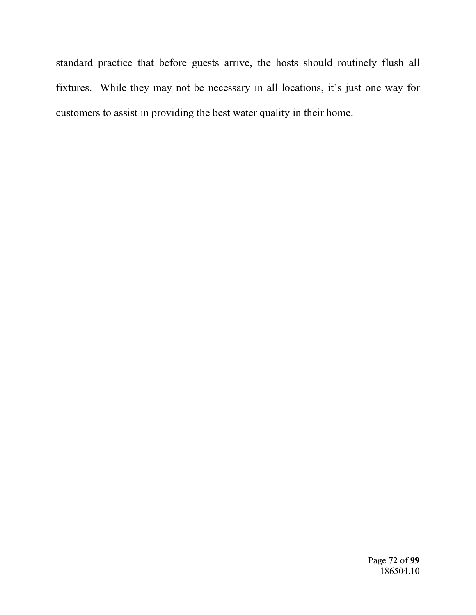standard practice that before guests arrive, the hosts should routinely flush all fixtures. While they may not be necessary in all locations, it's just one way for customers to assist in providing the best water quality in their home.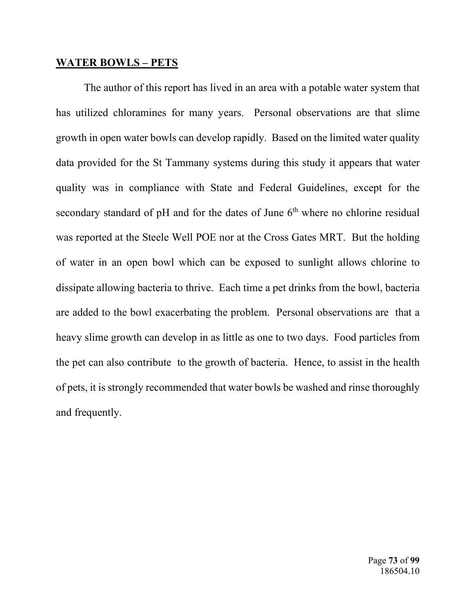## **WATER BOWLS – PETS**

The author of this report has lived in an area with a potable water system that has utilized chloramines for many years. Personal observations are that slime growth in open water bowls can develop rapidly. Based on the limited water quality data provided for the St Tammany systems during this study it appears that water quality was in compliance with State and Federal Guidelines, except for the secondary standard of pH and for the dates of June  $6<sup>th</sup>$  where no chlorine residual was reported at the Steele Well POE nor at the Cross Gates MRT. But the holding of water in an open bowl which can be exposed to sunlight allows chlorine to dissipate allowing bacteria to thrive. Each time a pet drinks from the bowl, bacteria are added to the bowl exacerbating the problem. Personal observations are that a heavy slime growth can develop in as little as one to two days. Food particles from the pet can also contribute to the growth of bacteria. Hence, to assist in the health of pets, it is strongly recommended that water bowls be washed and rinse thoroughly and frequently.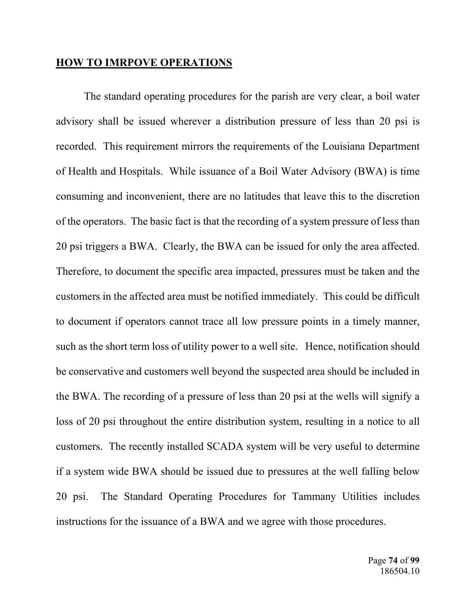### **HOW TO IMRPOVE OPERATIONS**

 The standard operating procedures for the parish are very clear, a boil water advisory shall be issued wherever a distribution pressure of less than 20 psi is recorded. This requirement mirrors the requirements of the Louisiana Department of Health and Hospitals. While issuance of a Boil Water Advisory (BWA) is time consuming and inconvenient, there are no latitudes that leave this to the discretion of the operators. The basic fact is that the recording of a system pressure of less than 20 psi triggers a BWA. Clearly, the BWA can be issued for only the area affected. Therefore, to document the specific area impacted, pressures must be taken and the customers in the affected area must be notified immediately. This could be difficult to document if operators cannot trace all low pressure points in a timely manner, such as the short term loss of utility power to a well site. Hence, notification should be conservative and customers well beyond the suspected area should be included in the BWA. The recording of a pressure of less than 20 psi at the wells will signify a loss of 20 psi throughout the entire distribution system, resulting in a notice to all customers. The recently installed SCADA system will be very useful to determine if a system wide BWA should be issued due to pressures at the well falling below 20 psi. The Standard Operating Procedures for Tammany Utilities includes instructions for the issuance of a BWA and we agree with those procedures.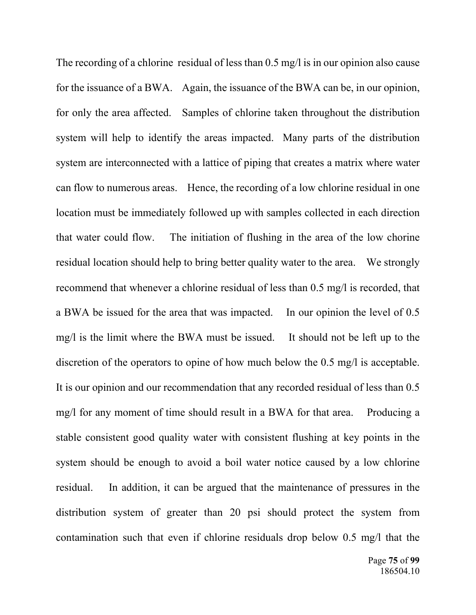The recording of a chlorine residual of less than 0.5 mg/l is in our opinion also cause for the issuance of a BWA. Again, the issuance of the BWA can be, in our opinion, for only the area affected. Samples of chlorine taken throughout the distribution system will help to identify the areas impacted. Many parts of the distribution system are interconnected with a lattice of piping that creates a matrix where water can flow to numerous areas. Hence, the recording of a low chlorine residual in one location must be immediately followed up with samples collected in each direction that water could flow. The initiation of flushing in the area of the low chorine residual location should help to bring better quality water to the area. We strongly recommend that whenever a chlorine residual of less than 0.5 mg/l is recorded, that a BWA be issued for the area that was impacted. In our opinion the level of 0.5 mg/l is the limit where the BWA must be issued. It should not be left up to the discretion of the operators to opine of how much below the 0.5 mg/l is acceptable. It is our opinion and our recommendation that any recorded residual of less than 0.5 mg/l for any moment of time should result in a BWA for that area. Producing a stable consistent good quality water with consistent flushing at key points in the system should be enough to avoid a boil water notice caused by a low chlorine residual. In addition, it can be argued that the maintenance of pressures in the distribution system of greater than 20 psi should protect the system from contamination such that even if chlorine residuals drop below 0.5 mg/l that the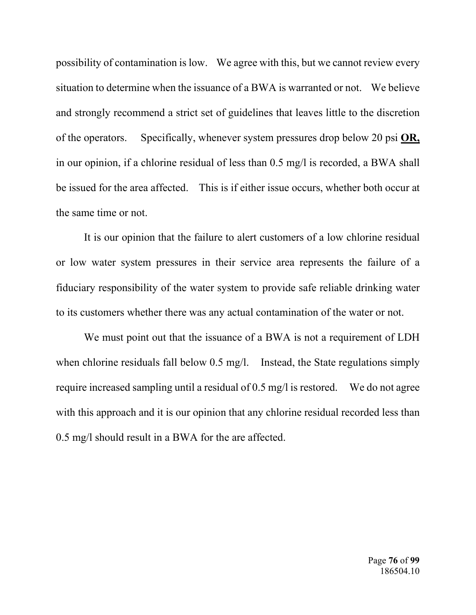possibility of contamination is low. We agree with this, but we cannot review every situation to determine when the issuance of a BWA is warranted or not. We believe and strongly recommend a strict set of guidelines that leaves little to the discretion of the operators. Specifically, whenever system pressures drop below 20 psi **OR,** in our opinion, if a chlorine residual of less than 0.5 mg/l is recorded, a BWA shall be issued for the area affected. This is if either issue occurs, whether both occur at the same time or not.

It is our opinion that the failure to alert customers of a low chlorine residual or low water system pressures in their service area represents the failure of a fiduciary responsibility of the water system to provide safe reliable drinking water to its customers whether there was any actual contamination of the water or not.

We must point out that the issuance of a BWA is not a requirement of LDH when chlorine residuals fall below 0.5 mg/l. Instead, the State regulations simply require increased sampling until a residual of 0.5 mg/l is restored. We do not agree with this approach and it is our opinion that any chlorine residual recorded less than 0.5 mg/l should result in a BWA for the are affected.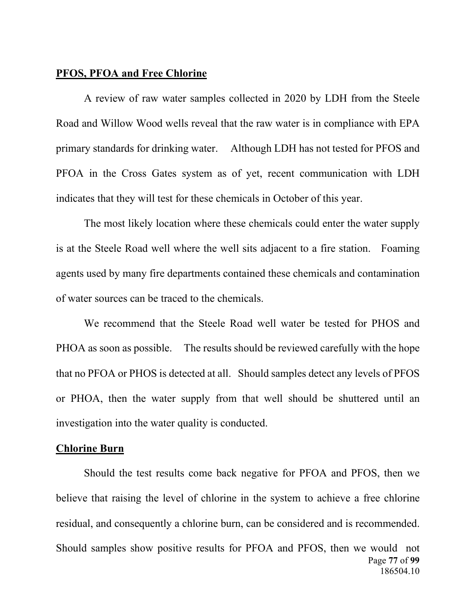## **PFOS, PFOA and Free Chlorine**

 A review of raw water samples collected in 2020 by LDH from the Steele Road and Willow Wood wells reveal that the raw water is in compliance with EPA primary standards for drinking water. Although LDH has not tested for PFOS and PFOA in the Cross Gates system as of yet, recent communication with LDH indicates that they will test for these chemicals in October of this year.

The most likely location where these chemicals could enter the water supply is at the Steele Road well where the well sits adjacent to a fire station. Foaming agents used by many fire departments contained these chemicals and contamination of water sources can be traced to the chemicals.

We recommend that the Steele Road well water be tested for PHOS and PHOA as soon as possible. The results should be reviewed carefully with the hope that no PFOA or PHOS is detected at all. Should samples detect any levels of PFOS or PHOA, then the water supply from that well should be shuttered until an investigation into the water quality is conducted.

### **Chlorine Burn**

Page **77** of **99**  186504.10 Should the test results come back negative for PFOA and PFOS, then we believe that raising the level of chlorine in the system to achieve a free chlorine residual, and consequently a chlorine burn, can be considered and is recommended. Should samples show positive results for PFOA and PFOS, then we would not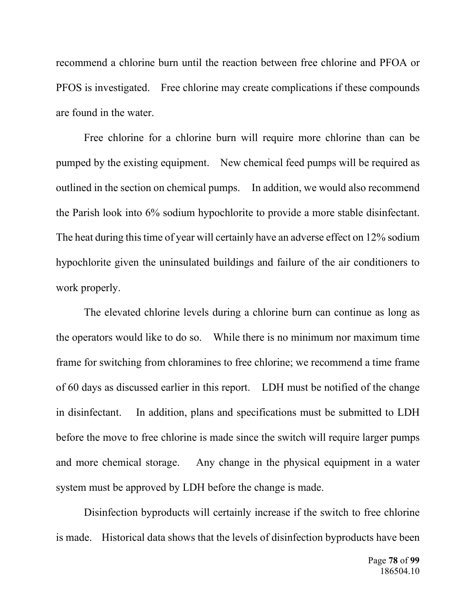recommend a chlorine burn until the reaction between free chlorine and PFOA or PFOS is investigated. Free chlorine may create complications if these compounds are found in the water.

 Free chlorine for a chlorine burn will require more chlorine than can be pumped by the existing equipment. New chemical feed pumps will be required as outlined in the section on chemical pumps. In addition, we would also recommend the Parish look into 6% sodium hypochlorite to provide a more stable disinfectant. The heat during this time of year will certainly have an adverse effect on 12% sodium hypochlorite given the uninsulated buildings and failure of the air conditioners to work properly.

The elevated chlorine levels during a chlorine burn can continue as long as the operators would like to do so. While there is no minimum nor maximum time frame for switching from chloramines to free chlorine; we recommend a time frame of 60 days as discussed earlier in this report. LDH must be notified of the change in disinfectant. In addition, plans and specifications must be submitted to LDH before the move to free chlorine is made since the switch will require larger pumps and more chemical storage. Any change in the physical equipment in a water system must be approved by LDH before the change is made.

 Disinfection byproducts will certainly increase if the switch to free chlorine is made. Historical data shows that the levels of disinfection byproducts have been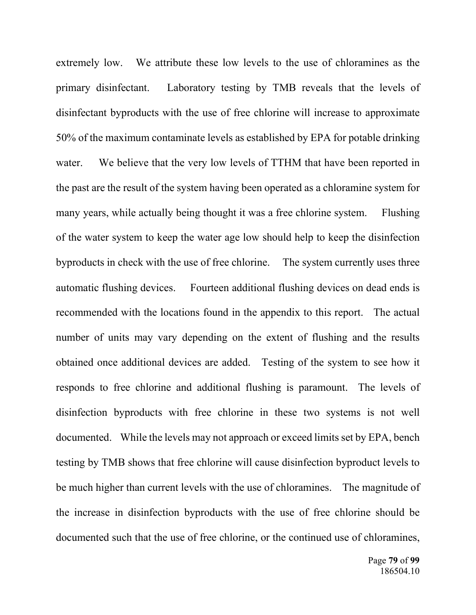extremely low. We attribute these low levels to the use of chloramines as the primary disinfectant. Laboratory testing by TMB reveals that the levels of disinfectant byproducts with the use of free chlorine will increase to approximate 50% of the maximum contaminate levels as established by EPA for potable drinking water. We believe that the very low levels of TTHM that have been reported in the past are the result of the system having been operated as a chloramine system for many years, while actually being thought it was a free chlorine system. Flushing of the water system to keep the water age low should help to keep the disinfection byproducts in check with the use of free chlorine. The system currently uses three automatic flushing devices. Fourteen additional flushing devices on dead ends is recommended with the locations found in the appendix to this report. The actual number of units may vary depending on the extent of flushing and the results obtained once additional devices are added. Testing of the system to see how it responds to free chlorine and additional flushing is paramount. The levels of disinfection byproducts with free chlorine in these two systems is not well documented. While the levels may not approach or exceed limits set by EPA, bench testing by TMB shows that free chlorine will cause disinfection byproduct levels to be much higher than current levels with the use of chloramines. The magnitude of the increase in disinfection byproducts with the use of free chlorine should be documented such that the use of free chlorine, or the continued use of chloramines,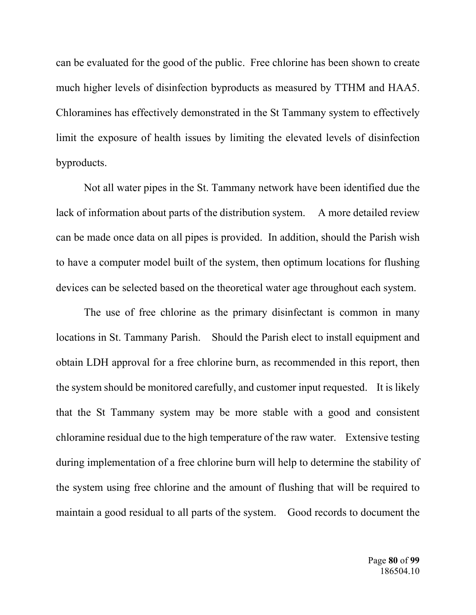can be evaluated for the good of the public. Free chlorine has been shown to create much higher levels of disinfection byproducts as measured by TTHM and HAA5. Chloramines has effectively demonstrated in the St Tammany system to effectively limit the exposure of health issues by limiting the elevated levels of disinfection byproducts.

Not all water pipes in the St. Tammany network have been identified due the lack of information about parts of the distribution system. A more detailed review can be made once data on all pipes is provided. In addition, should the Parish wish to have a computer model built of the system, then optimum locations for flushing devices can be selected based on the theoretical water age throughout each system.

 The use of free chlorine as the primary disinfectant is common in many locations in St. Tammany Parish. Should the Parish elect to install equipment and obtain LDH approval for a free chlorine burn, as recommended in this report, then the system should be monitored carefully, and customer input requested. It is likely that the St Tammany system may be more stable with a good and consistent chloramine residual due to the high temperature of the raw water. Extensive testing during implementation of a free chlorine burn will help to determine the stability of the system using free chlorine and the amount of flushing that will be required to maintain a good residual to all parts of the system. Good records to document the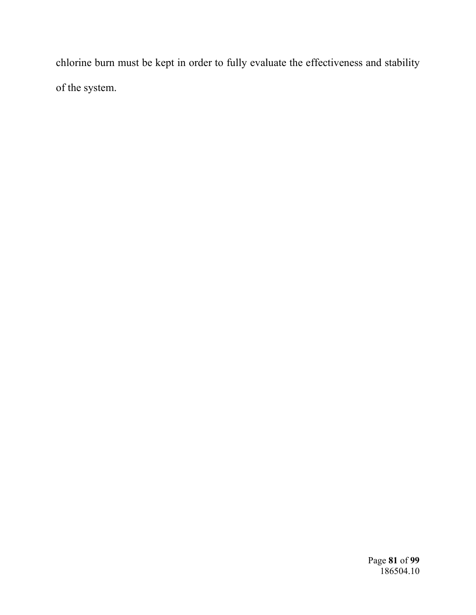chlorine burn must be kept in order to fully evaluate the effectiveness and stability of the system.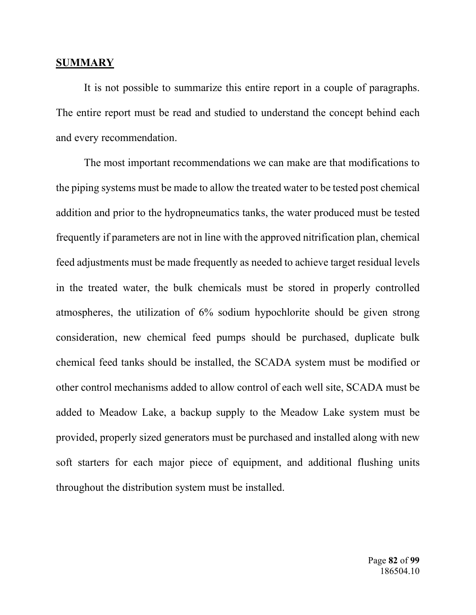#### **SUMMARY**

 It is not possible to summarize this entire report in a couple of paragraphs. The entire report must be read and studied to understand the concept behind each and every recommendation.

 The most important recommendations we can make are that modifications to the piping systems must be made to allow the treated water to be tested post chemical addition and prior to the hydropneumatics tanks, the water produced must be tested frequently if parameters are not in line with the approved nitrification plan, chemical feed adjustments must be made frequently as needed to achieve target residual levels in the treated water, the bulk chemicals must be stored in properly controlled atmospheres, the utilization of 6% sodium hypochlorite should be given strong consideration, new chemical feed pumps should be purchased, duplicate bulk chemical feed tanks should be installed, the SCADA system must be modified or other control mechanisms added to allow control of each well site, SCADA must be added to Meadow Lake, a backup supply to the Meadow Lake system must be provided, properly sized generators must be purchased and installed along with new soft starters for each major piece of equipment, and additional flushing units throughout the distribution system must be installed.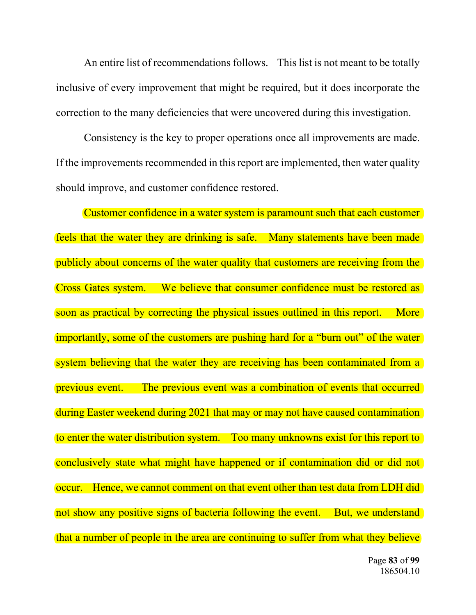An entire list of recommendations follows. This list is not meant to be totally inclusive of every improvement that might be required, but it does incorporate the correction to the many deficiencies that were uncovered during this investigation.

 Consistency is the key to proper operations once all improvements are made. If the improvements recommended in this report are implemented, then water quality should improve, and customer confidence restored.

 Customer confidence in a water system is paramount such that each customer feels that the water they are drinking is safe. Many statements have been made publicly about concerns of the water quality that customers are receiving from the Cross Gates system. We believe that consumer confidence must be restored as soon as practical by correcting the physical issues outlined in this report. More importantly, some of the customers are pushing hard for a "burn out" of the water system believing that the water they are receiving has been contaminated from a previous event. The previous event was a combination of events that occurred during Easter weekend during 2021 that may or may not have caused contamination to enter the water distribution system. Too many unknowns exist for this report to conclusively state what might have happened or if contamination did or did not occur. Hence, we cannot comment on that event other than test data from LDH did not show any positive signs of bacteria following the event. But, we understand that a number of people in the area are continuing to suffer from what they believe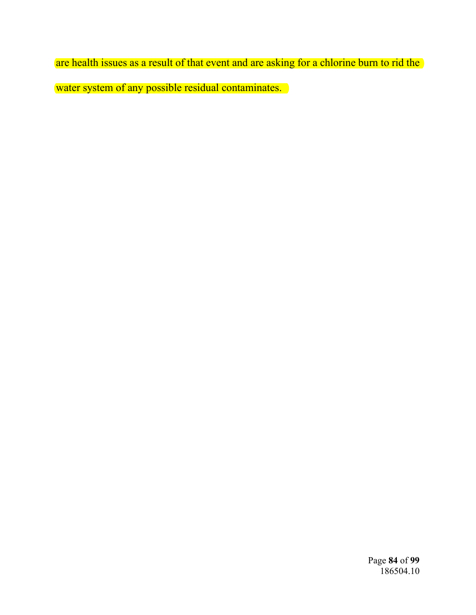are health issues as a result of that event and are asking for a chlorine burn to rid the water system of any possible residual contaminates.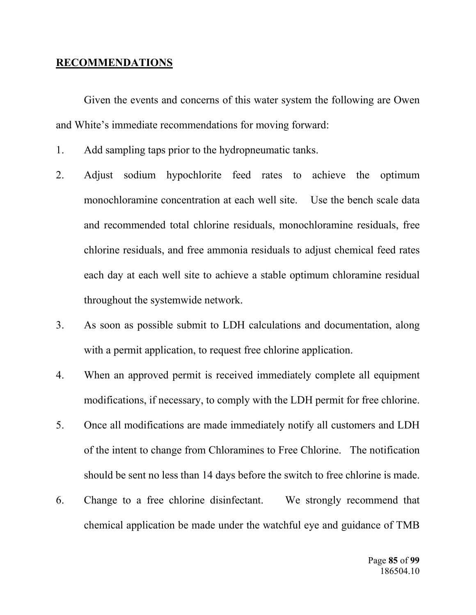## **RECOMMENDATIONS**

 Given the events and concerns of this water system the following are Owen and White's immediate recommendations for moving forward:

- 1. Add sampling taps prior to the hydropneumatic tanks.
- 2. Adjust sodium hypochlorite feed rates to achieve the optimum monochloramine concentration at each well site. Use the bench scale data and recommended total chlorine residuals, monochloramine residuals, free chlorine residuals, and free ammonia residuals to adjust chemical feed rates each day at each well site to achieve a stable optimum chloramine residual throughout the systemwide network.
- 3. As soon as possible submit to LDH calculations and documentation, along with a permit application, to request free chlorine application.
- 4. When an approved permit is received immediately complete all equipment modifications, if necessary, to comply with the LDH permit for free chlorine.
- 5. Once all modifications are made immediately notify all customers and LDH of the intent to change from Chloramines to Free Chlorine. The notification should be sent no less than 14 days before the switch to free chlorine is made.
- 6. Change to a free chlorine disinfectant. We strongly recommend that chemical application be made under the watchful eye and guidance of TMB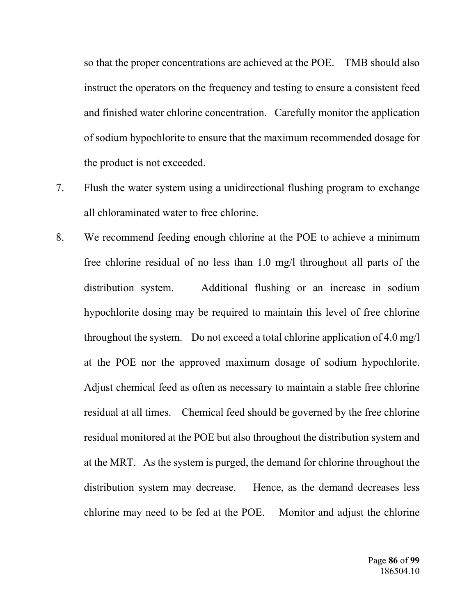so that the proper concentrations are achieved at the POE. TMB should also instruct the operators on the frequency and testing to ensure a consistent feed and finished water chlorine concentration. Carefully monitor the application of sodium hypochlorite to ensure that the maximum recommended dosage for the product is not exceeded.

- 7. Flush the water system using a unidirectional flushing program to exchange all chloraminated water to free chlorine.
- 8. We recommend feeding enough chlorine at the POE to achieve a minimum free chlorine residual of no less than 1.0 mg/l throughout all parts of the distribution system. Additional flushing or an increase in sodium hypochlorite dosing may be required to maintain this level of free chlorine throughout the system. Do not exceed a total chlorine application of 4.0 mg/l at the POE nor the approved maximum dosage of sodium hypochlorite. Adjust chemical feed as often as necessary to maintain a stable free chlorine residual at all times. Chemical feed should be governed by the free chlorine residual monitored at the POE but also throughout the distribution system and at the MRT. As the system is purged, the demand for chlorine throughout the distribution system may decrease. Hence, as the demand decreases less chlorine may need to be fed at the POE. Monitor and adjust the chlorine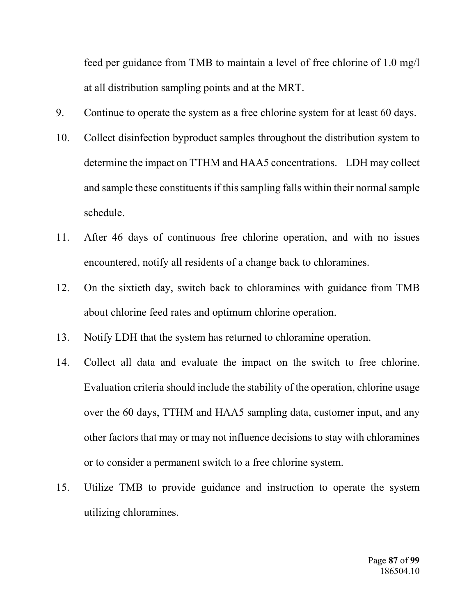feed per guidance from TMB to maintain a level of free chlorine of 1.0 mg/l at all distribution sampling points and at the MRT.

- 9. Continue to operate the system as a free chlorine system for at least 60 days.
- 10. Collect disinfection byproduct samples throughout the distribution system to determine the impact on TTHM and HAA5 concentrations. LDH may collect and sample these constituents if this sampling falls within their normal sample schedule.
- 11. After 46 days of continuous free chlorine operation, and with no issues encountered, notify all residents of a change back to chloramines.
- 12. On the sixtieth day, switch back to chloramines with guidance from TMB about chlorine feed rates and optimum chlorine operation.
- 13. Notify LDH that the system has returned to chloramine operation.
- 14. Collect all data and evaluate the impact on the switch to free chlorine. Evaluation criteria should include the stability of the operation, chlorine usage over the 60 days, TTHM and HAA5 sampling data, customer input, and any other factors that may or may not influence decisions to stay with chloramines or to consider a permanent switch to a free chlorine system.
- 15. Utilize TMB to provide guidance and instruction to operate the system utilizing chloramines.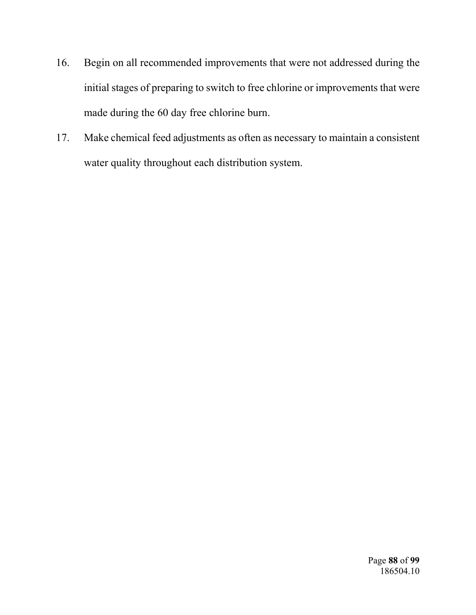- 16. Begin on all recommended improvements that were not addressed during the initial stages of preparing to switch to free chlorine or improvements that were made during the 60 day free chlorine burn.
- 17. Make chemical feed adjustments as often as necessary to maintain a consistent water quality throughout each distribution system.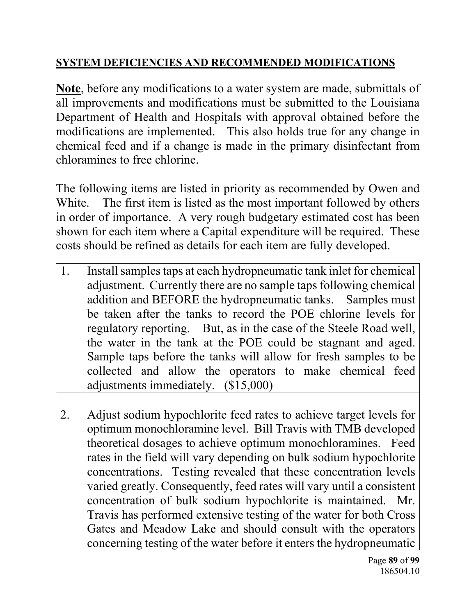# **SYSTEM DEFICIENCIES AND RECOMMENDED MODIFICATIONS**

**Note**, before any modifications to a water system are made, submittals of all improvements and modifications must be submitted to the Louisiana Department of Health and Hospitals with approval obtained before the modifications are implemented. This also holds true for any change in chemical feed and if a change is made in the primary disinfectant from chloramines to free chlorine.

The following items are listed in priority as recommended by Owen and White. The first item is listed as the most important followed by others in order of importance. A very rough budgetary estimated cost has been shown for each item where a Capital expenditure will be required. These costs should be refined as details for each item are fully developed.

- 1. Install samples taps at each hydropneumatic tank inlet for chemical adjustment. Currently there are no sample taps following chemical addition and BEFORE the hydropneumatic tanks. Samples must be taken after the tanks to record the POE chlorine levels for regulatory reporting. But, as in the case of the Steele Road well, the water in the tank at the POE could be stagnant and aged. Sample taps before the tanks will allow for fresh samples to be collected and allow the operators to make chemical feed adjustments immediately. (\$15,000)
- 2. Adjust sodium hypochlorite feed rates to achieve target levels for optimum monochloramine level. Bill Travis with TMB developed theoretical dosages to achieve optimum monochloramines. Feed rates in the field will vary depending on bulk sodium hypochlorite concentrations. Testing revealed that these concentration levels varied greatly. Consequently, feed rates will vary until a consistent concentration of bulk sodium hypochlorite is maintained. Mr. Travis has performed extensive testing of the water for both Cross Gates and Meadow Lake and should consult with the operators concerning testing of the water before it enters the hydropneumatic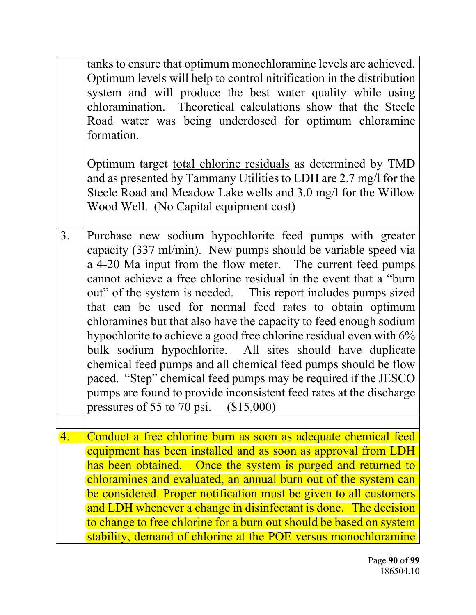|    | tanks to ensure that optimum monochloramine levels are achieved.<br>Optimum levels will help to control nitrification in the distribution<br>system and will produce the best water quality while using<br>chloramination. Theoretical calculations show that the Steele<br>Road water was being underdosed for optimum chloramine<br>formation.<br>Optimum target total chlorine residuals as determined by TMD<br>and as presented by Tammany Utilities to LDH are 2.7 mg/l for the<br>Steele Road and Meadow Lake wells and 3.0 mg/l for the Willow<br>Wood Well. (No Capital equipment cost)                                                                                                                                                                                                                                                         |
|----|----------------------------------------------------------------------------------------------------------------------------------------------------------------------------------------------------------------------------------------------------------------------------------------------------------------------------------------------------------------------------------------------------------------------------------------------------------------------------------------------------------------------------------------------------------------------------------------------------------------------------------------------------------------------------------------------------------------------------------------------------------------------------------------------------------------------------------------------------------|
| 3. | Purchase new sodium hypochlorite feed pumps with greater<br>capacity (337 ml/min). New pumps should be variable speed via<br>a 4-20 Ma input from the flow meter. The current feed pumps<br>cannot achieve a free chlorine residual in the event that a "burn<br>out" of the system is needed. This report includes pumps sized<br>that can be used for normal feed rates to obtain optimum<br>chloramines but that also have the capacity to feed enough sodium<br>hypochlorite to achieve a good free chlorine residual even with 6%<br>bulk sodium hypochlorite. All sites should have duplicate<br>chemical feed pumps and all chemical feed pumps should be flow<br>paced. "Step" chemical feed pumps may be required if the JESCO<br>pumps are found to provide inconsistent feed rates at the discharge<br>pressures of 55 to 70 psi.<br>\$15,000 |
|    |                                                                                                                                                                                                                                                                                                                                                                                                                                                                                                                                                                                                                                                                                                                                                                                                                                                          |
| 4. | Conduct a free chlorine burn as soon as adequate chemical feed<br>equipment has been installed and as soon as approval from LDH<br>has been obtained. Once the system is purged and returned to<br>chloramines and evaluated, an annual burn out of the system can<br>be considered. Proper notification must be given to all customers<br>and LDH whenever a change in disinfectant is done. The decision<br>to change to free chlorine for a burn out should be based on system<br>stability, demand of chlorine at the POE versus monochloramine                                                                                                                                                                                                                                                                                                      |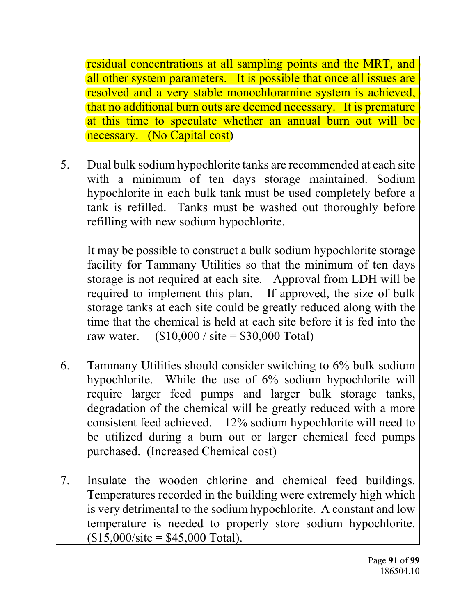|    | residual concentrations at all sampling points and the MRT, and<br>all other system parameters. It is possible that once all issues are<br>resolved and a very stable monochloramine system is achieved,<br>that no additional burn outs are deemed necessary. It is premature<br>at this time to speculate whether an annual burn out will be<br>necessary. (No Capital cost)                                                                                                            |
|----|-------------------------------------------------------------------------------------------------------------------------------------------------------------------------------------------------------------------------------------------------------------------------------------------------------------------------------------------------------------------------------------------------------------------------------------------------------------------------------------------|
|    |                                                                                                                                                                                                                                                                                                                                                                                                                                                                                           |
| 5. | Dual bulk sodium hypochlorite tanks are recommended at each site<br>with a minimum of ten days storage maintained. Sodium<br>hypochlorite in each bulk tank must be used completely before a<br>tank is refilled. Tanks must be washed out thoroughly before<br>refilling with new sodium hypochlorite.                                                                                                                                                                                   |
|    | It may be possible to construct a bulk sodium hypochlorite storage<br>facility for Tammany Utilities so that the minimum of ten days<br>storage is not required at each site. Approval from LDH will be<br>required to implement this plan. If approved, the size of bulk<br>storage tanks at each site could be greatly reduced along with the<br>time that the chemical is held at each site before it is fed into the<br>raw water. $($10,000 / \text{ site} = $30,000 \text{ Total})$ |
|    |                                                                                                                                                                                                                                                                                                                                                                                                                                                                                           |
| 6. | Tammany Utilities should consider switching to 6% bulk sodium<br>hypochlorite. While the use of 6% sodium hypochlorite will<br>require larger feed pumps and larger bulk storage tanks,<br>degradation of the chemical will be greatly reduced with a more<br>consistent feed achieved. 12% sodium hypochlorite will need to<br>be utilized during a burn out or larger chemical feed pumps<br>purchased. (Increased Chemical cost)                                                       |
|    |                                                                                                                                                                                                                                                                                                                                                                                                                                                                                           |
| 7. | Insulate the wooden chlorine and chemical feed buildings.<br>Temperatures recorded in the building were extremely high which<br>is very detrimental to the sodium hypochlorite. A constant and low<br>temperature is needed to properly store sodium hypochlorite.<br>$($15,000/site = $45,000 Total).$                                                                                                                                                                                   |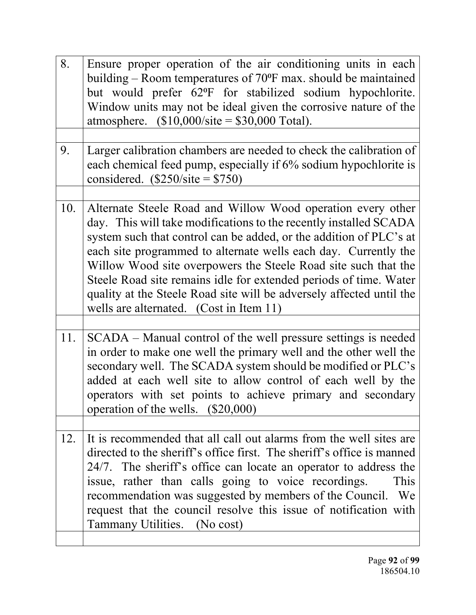| 8.  | Ensure proper operation of the air conditioning units in each<br>building – Room temperatures of $70^{\circ}$ F max. should be maintained<br>but would prefer 62°F for stabilized sodium hypochlorite.<br>Window units may not be ideal given the corrosive nature of the<br>atmosphere. $($10,000/site = $30,000 Total)$ .                                                                                                                                                                                                         |
|-----|-------------------------------------------------------------------------------------------------------------------------------------------------------------------------------------------------------------------------------------------------------------------------------------------------------------------------------------------------------------------------------------------------------------------------------------------------------------------------------------------------------------------------------------|
| 9.  | Larger calibration chambers are needed to check the calibration of<br>each chemical feed pump, especially if 6% sodium hypochlorite is<br>considered. $(\$250/\text{site} = \$750)$                                                                                                                                                                                                                                                                                                                                                 |
| 10. | Alternate Steele Road and Willow Wood operation every other<br>day. This will take modifications to the recently installed SCADA<br>system such that control can be added, or the addition of PLC's at<br>each site programmed to alternate wells each day. Currently the<br>Willow Wood site overpowers the Steele Road site such that the<br>Steele Road site remains idle for extended periods of time. Water<br>quality at the Steele Road site will be adversely affected until the<br>wells are alternated. (Cost in Item 11) |
| 11. | SCADA – Manual control of the well pressure settings is needed<br>in order to make one well the primary well and the other well the<br>secondary well. The SCADA system should be modified or PLC's<br>added at each well site to allow control of each well by the<br>operators with set points to achieve primary and secondary<br>operation of the wells. (\$20,000)                                                                                                                                                             |
| 12. | It is recommended that all call out alarms from the well sites are<br>directed to the sheriff's office first. The sheriff's office is manned<br>24/7. The sheriff's office can locate an operator to address the<br>issue, rather than calls going to voice recordings.<br>This<br>recommendation was suggested by members of the Council. We<br>request that the council resolve this issue of notification with<br>Tammany Utilities. (No cost)                                                                                   |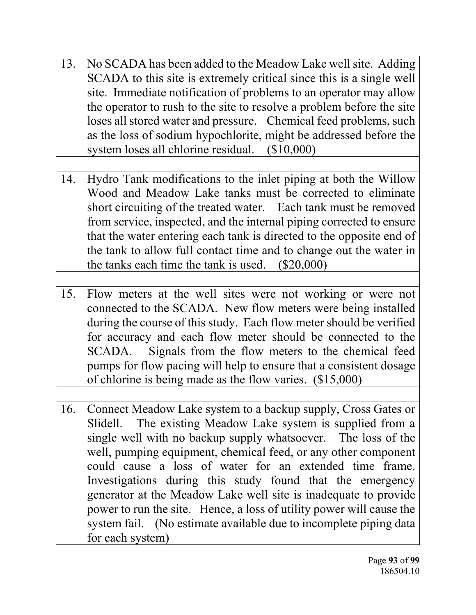| 13. | No SCADA has been added to the Meadow Lake well site. Adding<br>SCADA to this site is extremely critical since this is a single well<br>site. Immediate notification of problems to an operator may allow<br>the operator to rush to the site to resolve a problem before the site<br>loses all stored water and pressure. Chemical feed problems, such<br>as the loss of sodium hypochlorite, might be addressed before the<br>system loses all chlorine residual. (\$10,000)                                                                                                                                                 |
|-----|--------------------------------------------------------------------------------------------------------------------------------------------------------------------------------------------------------------------------------------------------------------------------------------------------------------------------------------------------------------------------------------------------------------------------------------------------------------------------------------------------------------------------------------------------------------------------------------------------------------------------------|
|     |                                                                                                                                                                                                                                                                                                                                                                                                                                                                                                                                                                                                                                |
| 14. | Hydro Tank modifications to the inlet piping at both the Willow<br>Wood and Meadow Lake tanks must be corrected to eliminate<br>short circuiting of the treated water. Each tank must be removed<br>from service, inspected, and the internal piping corrected to ensure<br>that the water entering each tank is directed to the opposite end of<br>the tank to allow full contact time and to change out the water in<br>the tanks each time the tank is used.<br>$(\$20,000)$                                                                                                                                                |
|     |                                                                                                                                                                                                                                                                                                                                                                                                                                                                                                                                                                                                                                |
| 15. | Flow meters at the well sites were not working or were not<br>connected to the SCADA. New flow meters were being installed<br>during the course of this study. Each flow meter should be verified<br>for accuracy and each flow meter should be connected to the<br>SCADA. Signals from the flow meters to the chemical feed<br>pumps for flow pacing will help to ensure that a consistent dosage<br>of chlorine is being made as the flow varies. $(\$15,000)$                                                                                                                                                               |
|     |                                                                                                                                                                                                                                                                                                                                                                                                                                                                                                                                                                                                                                |
| 16. | Connect Meadow Lake system to a backup supply, Cross Gates or<br>The existing Meadow Lake system is supplied from a<br>Slidell.<br>single well with no backup supply whatsoever. The loss of the<br>well, pumping equipment, chemical feed, or any other component<br>could cause a loss of water for an extended time frame.<br>Investigations during this study found that the emergency<br>generator at the Meadow Lake well site is inadequate to provide<br>power to run the site. Hence, a loss of utility power will cause the<br>system fail. (No estimate available due to incomplete piping data<br>for each system) |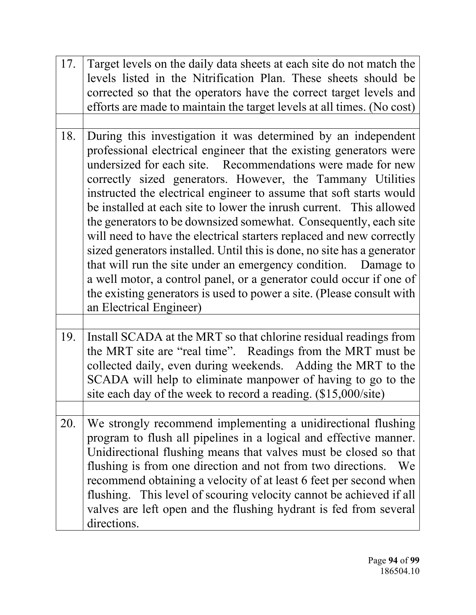| 17. | Target levels on the daily data sheets at each site do not match the<br>levels listed in the Nitrification Plan. These sheets should be<br>corrected so that the operators have the correct target levels and<br>efforts are made to maintain the target levels at all times. (No cost)                                                                                                                                                                                                                                                                                                                                                                                                                                                                                                                                                                                            |
|-----|------------------------------------------------------------------------------------------------------------------------------------------------------------------------------------------------------------------------------------------------------------------------------------------------------------------------------------------------------------------------------------------------------------------------------------------------------------------------------------------------------------------------------------------------------------------------------------------------------------------------------------------------------------------------------------------------------------------------------------------------------------------------------------------------------------------------------------------------------------------------------------|
| 18. | During this investigation it was determined by an independent<br>professional electrical engineer that the existing generators were<br>undersized for each site. Recommendations were made for new<br>correctly sized generators. However, the Tammany Utilities<br>instructed the electrical engineer to assume that soft starts would<br>be installed at each site to lower the inrush current. This allowed<br>the generators to be downsized somewhat. Consequently, each site<br>will need to have the electrical starters replaced and new correctly<br>sized generators installed. Until this is done, no site has a generator<br>that will run the site under an emergency condition. Damage to<br>a well motor, a control panel, or a generator could occur if one of<br>the existing generators is used to power a site. (Please consult with<br>an Electrical Engineer) |
| 19. | Install SCADA at the MRT so that chlorine residual readings from<br>the MRT site are "real time". Readings from the MRT must be<br>collected daily, even during weekends. Adding the MRT to the<br>SCADA will help to eliminate manpower of having to go to the<br>site each day of the week to record a reading. (\$15,000/site)                                                                                                                                                                                                                                                                                                                                                                                                                                                                                                                                                  |
| 20. | We strongly recommend implementing a unidirectional flushing<br>program to flush all pipelines in a logical and effective manner.<br>Unidirectional flushing means that valves must be closed so that<br>flushing is from one direction and not from two directions.<br>We<br>recommend obtaining a velocity of at least 6 feet per second when<br>flushing. This level of scouring velocity cannot be achieved if all<br>valves are left open and the flushing hydrant is fed from several<br>directions.                                                                                                                                                                                                                                                                                                                                                                         |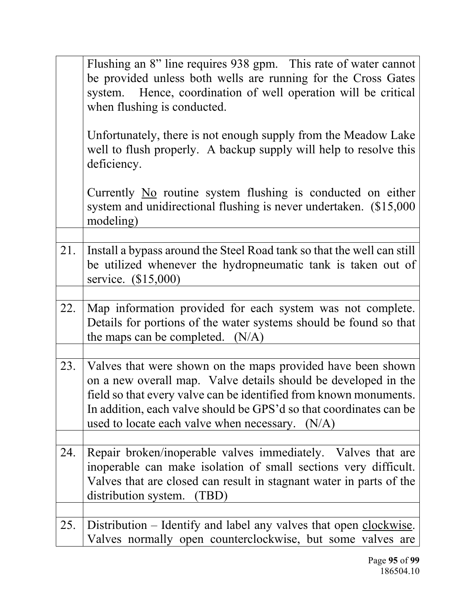|     | Flushing an 8" line requires 938 gpm. This rate of water cannot<br>be provided unless both wells are running for the Cross Gates<br>Hence, coordination of well operation will be critical<br>system.<br>when flushing is conducted.                                                                                          |
|-----|-------------------------------------------------------------------------------------------------------------------------------------------------------------------------------------------------------------------------------------------------------------------------------------------------------------------------------|
|     | Unfortunately, there is not enough supply from the Meadow Lake<br>well to flush properly. A backup supply will help to resolve this<br>deficiency.                                                                                                                                                                            |
|     | Currently No routine system flushing is conducted on either<br>system and unidirectional flushing is never undertaken. (\$15,000)<br>modeling)                                                                                                                                                                                |
| 21. | Install a bypass around the Steel Road tank so that the well can still<br>be utilized whenever the hydropneumatic tank is taken out of<br>service. (\$15,000)                                                                                                                                                                 |
| 22. | Map information provided for each system was not complete.<br>Details for portions of the water systems should be found so that<br>the maps can be completed. $(N/A)$                                                                                                                                                         |
| 23. | Valves that were shown on the maps provided have been shown<br>on a new overall map. Valve details should be developed in the<br>field so that every valve can be identified from known monuments.<br>In addition, each valve should be GPS'd so that coordinates can be<br>used to locate each valve when necessary. $(N/A)$ |
| 24. | Repair broken/inoperable valves immediately. Valves that are<br>inoperable can make isolation of small sections very difficult.<br>Valves that are closed can result in stagnant water in parts of the<br>distribution system.<br>(TBD)                                                                                       |
| 25. | Distribution – Identify and label any valves that open clockwise.<br>Valves normally open counterclockwise, but some valves are                                                                                                                                                                                               |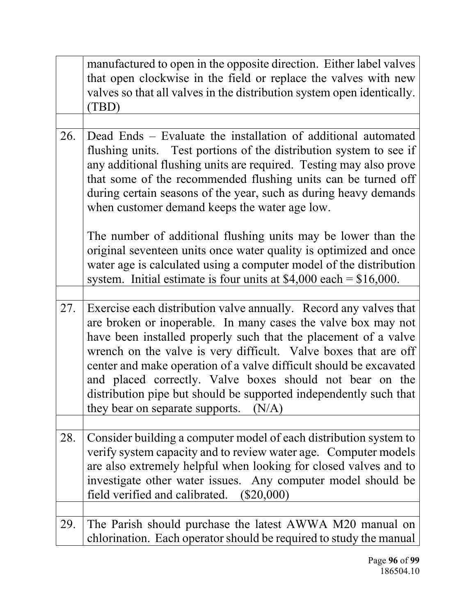|     | manufactured to open in the opposite direction. Either label valves<br>that open clockwise in the field or replace the valves with new<br>valves so that all valves in the distribution system open identically.<br>(TBD)                                                                                                                                                                                                                                                                                                   |
|-----|-----------------------------------------------------------------------------------------------------------------------------------------------------------------------------------------------------------------------------------------------------------------------------------------------------------------------------------------------------------------------------------------------------------------------------------------------------------------------------------------------------------------------------|
|     |                                                                                                                                                                                                                                                                                                                                                                                                                                                                                                                             |
| 26. | Dead Ends – Evaluate the installation of additional automated<br>flushing units. Test portions of the distribution system to see if<br>any additional flushing units are required. Testing may also prove<br>that some of the recommended flushing units can be turned off<br>during certain seasons of the year, such as during heavy demands<br>when customer demand keeps the water age low.                                                                                                                             |
|     | The number of additional flushing units may be lower than the<br>original seventeen units once water quality is optimized and once<br>water age is calculated using a computer model of the distribution<br>system. Initial estimate is four units at $$4,000$ each = \$16,000.                                                                                                                                                                                                                                             |
|     |                                                                                                                                                                                                                                                                                                                                                                                                                                                                                                                             |
| 27. | Exercise each distribution valve annually. Record any valves that<br>are broken or inoperable. In many cases the valve box may not<br>have been installed properly such that the placement of a valve<br>wrench on the valve is very difficult. Valve boxes that are off<br>center and make operation of a valve difficult should be excavated<br>and placed correctly. Valve boxes should not bear on the<br>distribution pipe but should be supported independently such that<br>they bear on separate supports.<br>(N/A) |
|     |                                                                                                                                                                                                                                                                                                                                                                                                                                                                                                                             |
| 28. | Consider building a computer model of each distribution system to<br>verify system capacity and to review water age. Computer models<br>are also extremely helpful when looking for closed valves and to<br>investigate other water issues. Any computer model should be<br>field verified and calibrated.<br>$(\$20,000)$                                                                                                                                                                                                  |
|     |                                                                                                                                                                                                                                                                                                                                                                                                                                                                                                                             |
| 29. | The Parish should purchase the latest AWWA M20 manual on<br>chlorination. Each operator should be required to study the manual                                                                                                                                                                                                                                                                                                                                                                                              |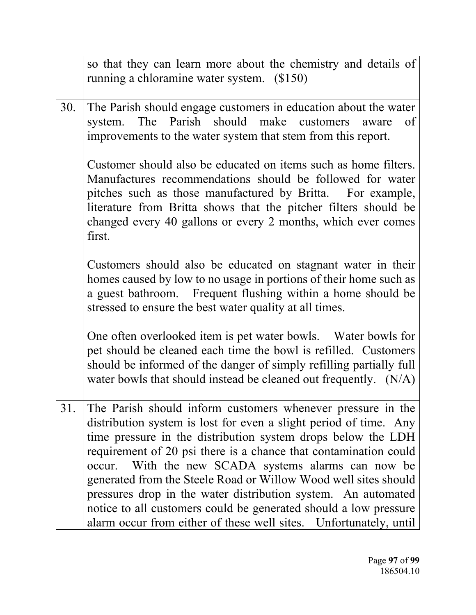|     | so that they can learn more about the chemistry and details of<br>running a chloramine water system. (\$150)                                                                                                                                                                                                                                                                                                                                                                                                                                                                                             |
|-----|----------------------------------------------------------------------------------------------------------------------------------------------------------------------------------------------------------------------------------------------------------------------------------------------------------------------------------------------------------------------------------------------------------------------------------------------------------------------------------------------------------------------------------------------------------------------------------------------------------|
|     |                                                                                                                                                                                                                                                                                                                                                                                                                                                                                                                                                                                                          |
| 30. | The Parish should engage customers in education about the water<br>system. The Parish should make customers aware<br>of<br>improvements to the water system that stem from this report.                                                                                                                                                                                                                                                                                                                                                                                                                  |
|     | Customer should also be educated on items such as home filters.<br>Manufactures recommendations should be followed for water<br>pitches such as those manufactured by Britta. For example,<br>literature from Britta shows that the pitcher filters should be<br>changed every 40 gallons or every 2 months, which ever comes<br>first.                                                                                                                                                                                                                                                                  |
|     | Customers should also be educated on stagnant water in their<br>homes caused by low to no usage in portions of their home such as<br>a guest bathroom. Frequent flushing within a home should be<br>stressed to ensure the best water quality at all times.                                                                                                                                                                                                                                                                                                                                              |
|     | One often overlooked item is pet water bowls. Water bowls for<br>pet should be cleaned each time the bowl is refilled. Customers<br>should be informed of the danger of simply refilling partially full<br>water bowls that should instead be cleaned out frequently. $(N/A)$                                                                                                                                                                                                                                                                                                                            |
|     |                                                                                                                                                                                                                                                                                                                                                                                                                                                                                                                                                                                                          |
| 31. | The Parish should inform customers whenever pressure in the<br>distribution system is lost for even a slight period of time. Any<br>time pressure in the distribution system drops below the LDH<br>requirement of 20 psi there is a chance that contamination could<br>occur. With the new SCADA systems alarms can now be<br>generated from the Steele Road or Willow Wood well sites should<br>pressures drop in the water distribution system. An automated<br>notice to all customers could be generated should a low pressure<br>alarm occur from either of these well sites. Unfortunately, until |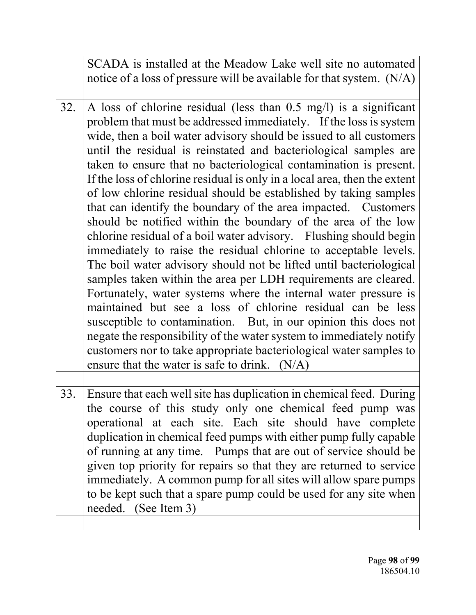|     | SCADA is installed at the Meadow Lake well site no automated<br>notice of a loss of pressure will be available for that system. $(N/A)$                                                                                                                                                                                                                                                                                                                                                                                                                                                                                                                                                                                                                                                                                                                                                                                                                                                                                                                                                                                                                                                                                                                                                                                                  |
|-----|------------------------------------------------------------------------------------------------------------------------------------------------------------------------------------------------------------------------------------------------------------------------------------------------------------------------------------------------------------------------------------------------------------------------------------------------------------------------------------------------------------------------------------------------------------------------------------------------------------------------------------------------------------------------------------------------------------------------------------------------------------------------------------------------------------------------------------------------------------------------------------------------------------------------------------------------------------------------------------------------------------------------------------------------------------------------------------------------------------------------------------------------------------------------------------------------------------------------------------------------------------------------------------------------------------------------------------------|
|     |                                                                                                                                                                                                                                                                                                                                                                                                                                                                                                                                                                                                                                                                                                                                                                                                                                                                                                                                                                                                                                                                                                                                                                                                                                                                                                                                          |
| 32. | A loss of chlorine residual (less than $0.5 \text{ mg/l}$ ) is a significant<br>problem that must be addressed immediately. If the loss is system<br>wide, then a boil water advisory should be issued to all customers<br>until the residual is reinstated and bacteriological samples are<br>taken to ensure that no bacteriological contamination is present.<br>If the loss of chlorine residual is only in a local area, then the extent<br>of low chlorine residual should be established by taking samples<br>that can identify the boundary of the area impacted. Customers<br>should be notified within the boundary of the area of the low<br>chlorine residual of a boil water advisory. Flushing should begin<br>immediately to raise the residual chlorine to acceptable levels.<br>The boil water advisory should not be lifted until bacteriological<br>samples taken within the area per LDH requirements are cleared.<br>Fortunately, water systems where the internal water pressure is<br>maintained but see a loss of chlorine residual can be less<br>susceptible to contamination. But, in our opinion this does not<br>negate the responsibility of the water system to immediately notify<br>customers nor to take appropriate bacteriological water samples to<br>ensure that the water is safe to drink. (N/A) |
|     |                                                                                                                                                                                                                                                                                                                                                                                                                                                                                                                                                                                                                                                                                                                                                                                                                                                                                                                                                                                                                                                                                                                                                                                                                                                                                                                                          |
| 33. | Ensure that each well site has duplication in chemical feed. During<br>the course of this study only one chemical feed pump was<br>operational at each site. Each site should have complete<br>duplication in chemical feed pumps with either pump fully capable<br>of running at any time. Pumps that are out of service should be<br>given top priority for repairs so that they are returned to service<br>immediately. A common pump for all sites will allow spare pumps<br>to be kept such that a spare pump could be used for any site when<br>needed. (See Item 3)                                                                                                                                                                                                                                                                                                                                                                                                                                                                                                                                                                                                                                                                                                                                                               |
|     |                                                                                                                                                                                                                                                                                                                                                                                                                                                                                                                                                                                                                                                                                                                                                                                                                                                                                                                                                                                                                                                                                                                                                                                                                                                                                                                                          |